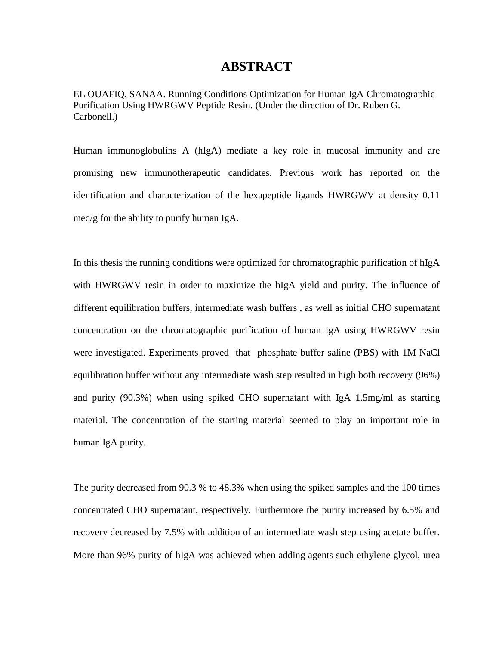### **ABSTRACT**

EL OUAFIQ, SANAA. Running Conditions Optimization for Human IgA Chromatographic Purification Using HWRGWV Peptide Resin. (Under the direction of Dr. Ruben G. Carbonell.)

Human immunoglobulins A (hIgA) mediate a key role in mucosal immunity and are promising new immunotherapeutic candidates. Previous work has reported on the identification and characterization of the hexapeptide ligands HWRGWV at density 0.11 meq/g for the ability to purify human IgA.

In this thesis the running conditions were optimized for chromatographic purification of hIgA with HWRGWV resin in order to maximize the hIgA yield and purity. The influence of different equilibration buffers, intermediate wash buffers , as well as initial CHO supernatant concentration on the chromatographic purification of human IgA using HWRGWV resin were investigated. Experiments proved that phosphate buffer saline (PBS) with 1M NaCl equilibration buffer without any intermediate wash step resulted in high both recovery (96%) and purity (90.3%) when using spiked CHO supernatant with IgA 1.5mg/ml as starting material. The concentration of the starting material seemed to play an important role in human IgA purity.

The purity decreased from 90.3 % to 48.3% when using the spiked samples and the 100 times concentrated CHO supernatant, respectively. Furthermore the purity increased by 6.5% and recovery decreased by 7.5% with addition of an intermediate wash step using acetate buffer. More than 96% purity of hIgA was achieved when adding agents such ethylene glycol, urea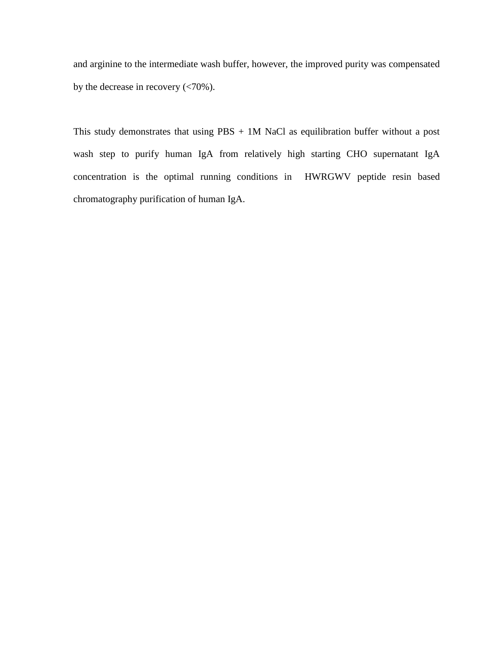and arginine to the intermediate wash buffer, however, the improved purity was compensated by the decrease in recovery (<70%).

This study demonstrates that using PBS + 1M NaCl as equilibration buffer without a post wash step to purify human IgA from relatively high starting CHO supernatant IgA concentration is the optimal running conditions in HWRGWV peptide resin based chromatography purification of human IgA.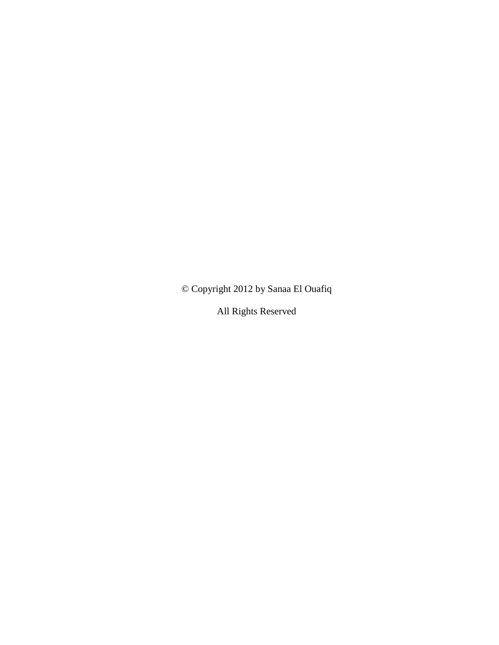© Copyright 2012 by Sanaa El Ouafiq

All Rights Reserved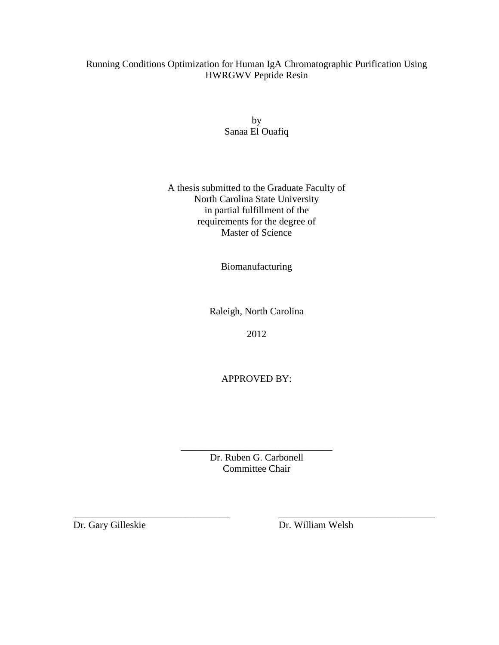### Running Conditions Optimization for Human IgA Chromatographic Purification Using HWRGWV Peptide Resin

by Sanaa El Ouafiq

#### A thesis submitted to the Graduate Faculty of North Carolina State University in partial fulfillment of the requirements for the degree of Master of Science

Biomanufacturing

Raleigh, North Carolina

2012

APPROVED BY:

Dr. Ruben G. Carbonell Committee Chair

\_\_\_\_\_\_\_\_\_\_\_\_\_\_\_\_\_\_\_\_\_\_\_\_\_\_\_\_\_\_\_\_ \_\_\_\_\_\_\_\_\_\_\_\_\_\_\_\_\_\_\_\_\_\_\_\_\_\_\_\_\_\_\_\_

\_\_\_\_\_\_\_\_\_\_\_\_\_\_\_\_\_\_\_\_\_\_\_\_\_\_\_\_\_\_\_

Dr. Gary Gilleskie Dr. William Welsh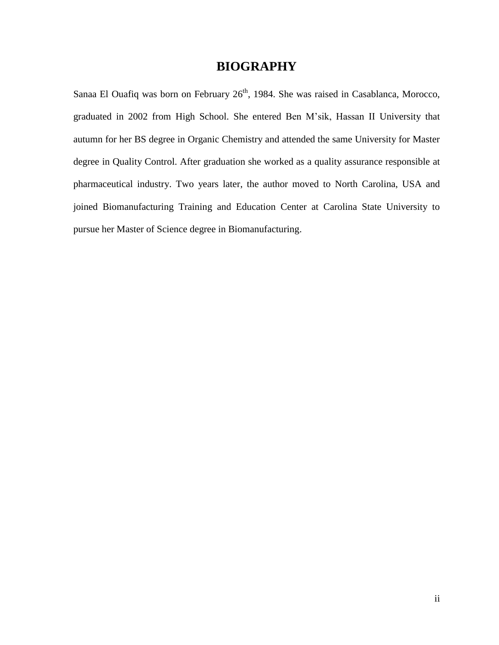# **BIOGRAPHY**

Sanaa El Ouafiq was born on February 26<sup>th</sup>, 1984. She was raised in Casablanca, Morocco, graduated in 2002 from High School. She entered Ben M'sik, Hassan II University that autumn for her BS degree in Organic Chemistry and attended the same University for Master degree in Quality Control. After graduation she worked as a quality assurance responsible at pharmaceutical industry. Two years later, the author moved to North Carolina, USA and joined Biomanufacturing Training and Education Center at Carolina State University to pursue her Master of Science degree in Biomanufacturing.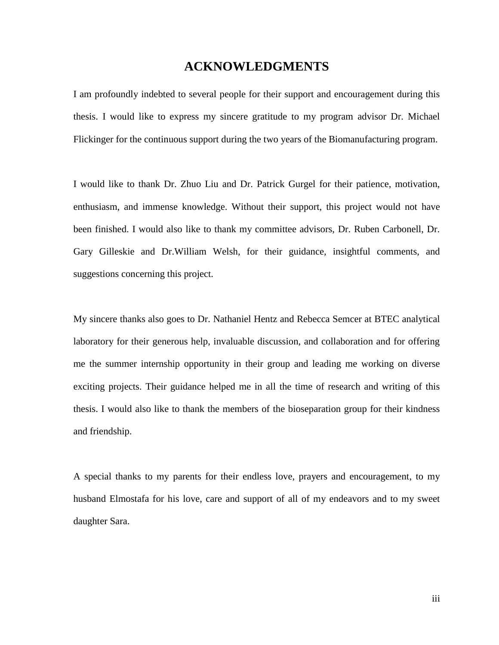## **ACKNOWLEDGMENTS**

I am profoundly indebted to several people for their support and encouragement during this thesis. I would like to express my sincere gratitude to my program advisor Dr. Michael Flickinger for the continuous support during the two years of the Biomanufacturing program.

I would like to thank Dr. Zhuo Liu and Dr. Patrick Gurgel for their patience, motivation, enthusiasm, and immense knowledge. Without their support, this project would not have been finished. I would also like to thank my committee advisors, Dr. Ruben Carbonell, Dr. Gary Gilleskie and Dr.William Welsh, for their guidance, insightful comments, and suggestions concerning this project.

My sincere thanks also goes to Dr. Nathaniel Hentz and Rebecca Semcer at BTEC analytical laboratory for their generous help, invaluable discussion, and collaboration and for offering me the summer internship opportunity in their group and leading me working on diverse exciting projects. Their guidance helped me in all the time of research and writing of this thesis. I would also like to thank the members of the bioseparation group for their kindness and friendship.

A special thanks to my parents for their endless love, prayers and encouragement, to my husband Elmostafa for his love, care and support of all of my endeavors and to my sweet daughter Sara.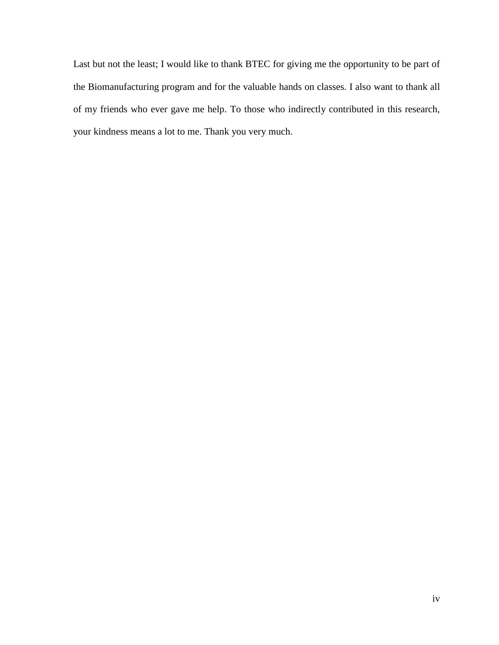Last but not the least; I would like to thank BTEC for giving me the opportunity to be part of the Biomanufacturing program and for the valuable hands on classes. I also want to thank all of my friends who ever gave me help. To those who indirectly contributed in this research, your kindness means a lot to me. Thank you very much.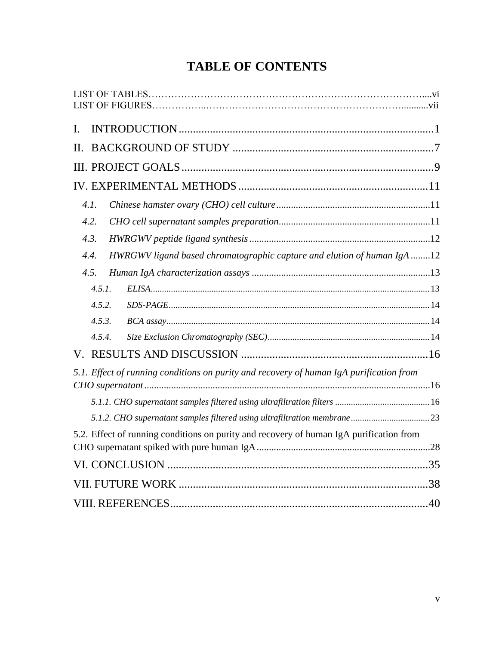# **TABLE OF CONTENTS**

| I.     |                                                                                         |  |
|--------|-----------------------------------------------------------------------------------------|--|
| П.     |                                                                                         |  |
|        |                                                                                         |  |
|        |                                                                                         |  |
| 4.1.   |                                                                                         |  |
| 4.2.   |                                                                                         |  |
| 4.3.   |                                                                                         |  |
| 4.4.   | HWRGWV ligand based chromatographic capture and elution of human IgA 12                 |  |
| 4.5.   |                                                                                         |  |
| 4.5.1. |                                                                                         |  |
| 4.5.2. |                                                                                         |  |
| 4.5.3. |                                                                                         |  |
| 4.5.4. |                                                                                         |  |
| V.     |                                                                                         |  |
|        | 5.1. Effect of running conditions on purity and recovery of human IgA purification from |  |
|        |                                                                                         |  |
|        |                                                                                         |  |
|        |                                                                                         |  |
|        | 5.2. Effect of running conditions on purity and recovery of human IgA purification from |  |
|        |                                                                                         |  |
|        |                                                                                         |  |
|        |                                                                                         |  |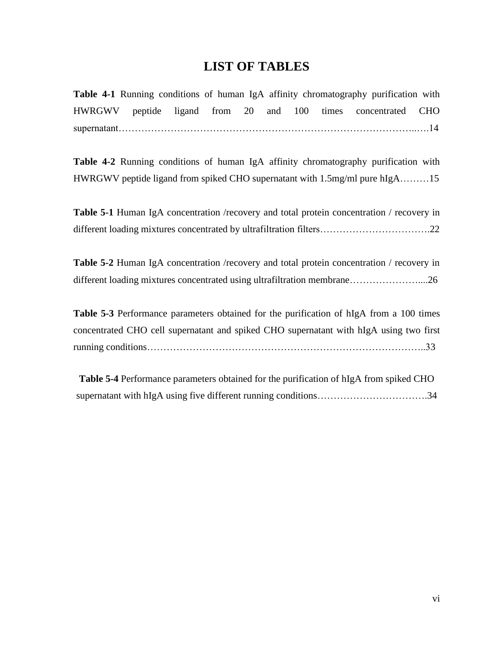# **LIST OF TABLES**

**Table 4-1** Running conditions of human IgA affinity chromatography purification with HWRGWV peptide ligand from 20 and 100 times concentrated CHO supernatant………………………………………………………………………………..….14

**Table 4-2** Running conditions of human IgA affinity chromatography purification with HWRGWV peptide ligand from spiked CHO supernatant with 1.5mg/ml pure hIgA………15

**Table 5-1** Human IgA concentration /recovery and total protein concentration / recovery in different loading mixtures concentrated by ultrafiltration filters………………………………………22

**Table 5-2** Human IgA concentration /recovery and total protein concentration / recovery in different loading mixtures concentrated using ultrafiltration membrane……………………………26

**Table 5-3** Performance parameters obtained for the purification of hIgA from a 100 times concentrated CHO cell supernatant and spiked CHO supernatant with hIgA using two first running conditions…………………………………………………………………………..33

**Table 5-4** Performance parameters obtained for the purification of hIgA from spiked CHO supernatant with hIgA using five different running conditions………………………………………………34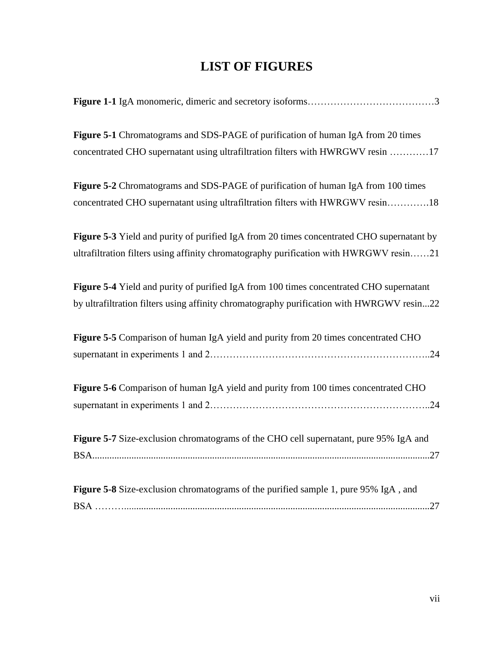# **LIST OF FIGURES**

| Figure 5-1 Chromatograms and SDS-PAGE of purification of human IgA from 20 times<br>concentrated CHO supernatant using ultrafiltration filters with HWRGWV resin 17                  |
|--------------------------------------------------------------------------------------------------------------------------------------------------------------------------------------|
| Figure 5-2 Chromatograms and SDS-PAGE of purification of human IgA from 100 times<br>concentrated CHO supernatant using ultrafiltration filters with HWRGWV resin18                  |
| Figure 5-3 Yield and purity of purified IgA from 20 times concentrated CHO supernatant by<br>ultrafiltration filters using affinity chromatography purification with HWRGWV resin21  |
| Figure 5-4 Yield and purity of purified IgA from 100 times concentrated CHO supernatant<br>by ultrafiltration filters using affinity chromatography purification with HWRGWV resin22 |
| Figure 5-5 Comparison of human IgA yield and purity from 20 times concentrated CHO                                                                                                   |
| Figure 5-6 Comparison of human IgA yield and purity from 100 times concentrated CHO                                                                                                  |
| Figure 5-7 Size-exclusion chromatograms of the CHO cell supernatant, pure 95% IgA and                                                                                                |
| Figure 5-8 Size-exclusion chromatograms of the purified sample 1, pure 95% IgA, and                                                                                                  |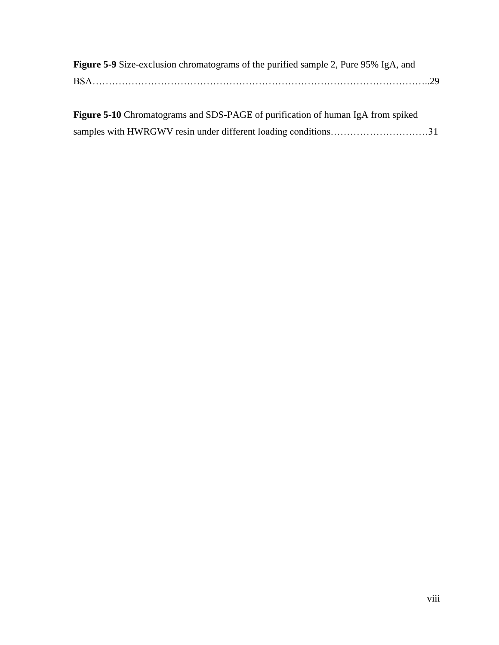| <b>Figure 5-9</b> Size-exclusion chromatograms of the purified sample 2, Pure 95% IgA, and |  |
|--------------------------------------------------------------------------------------------|--|
|                                                                                            |  |
|                                                                                            |  |
| <b>Figure 5-10</b> Chromatograms and SDS-PAGE of purification of human IgA from spiked     |  |

|  |  | samples with HWRGWV resin under different loading conditions31 |  |
|--|--|----------------------------------------------------------------|--|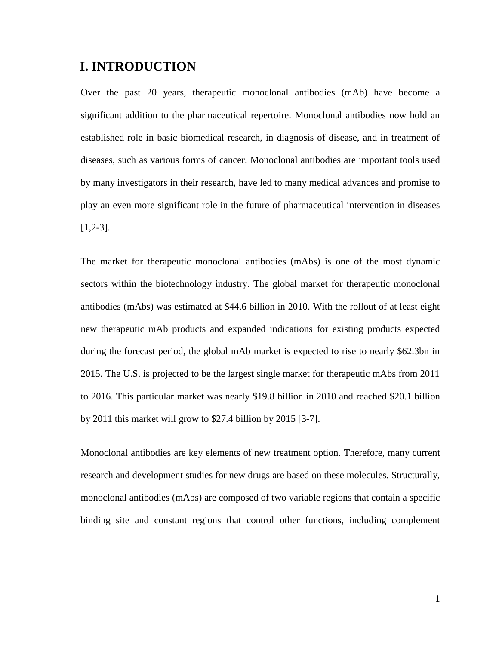# <span id="page-11-0"></span>**I. INTRODUCTION**

Over the past 20 years, therapeutic monoclonal antibodies (mAb) have become a significant addition to the pharmaceutical repertoire. Monoclonal antibodies now hold an established role in basic biomedical research, in diagnosis of disease, and in treatment of diseases, such as various forms of cancer. Monoclonal antibodies are important tools used by many investigators in their research, have led to many medical advances and promise to play an even more significant role in the future of pharmaceutical intervention in diseases [1,2-3].

The market for therapeutic monoclonal antibodies (mAbs) is one of the most dynamic sectors within the biotechnology industry. The global market for therapeutic monoclonal antibodies (mAbs) was estimated at \$44.6 billion in 2010. With the rollout of at least eight new therapeutic mAb products and expanded indications for existing products expected during the forecast period, the global mAb market is expected to rise to nearly \$62.3bn in 2015. The U.S. is projected to be the largest single market for therapeutic mAbs from 2011 to 2016. This particular market was nearly \$19.8 billion in 2010 and reached \$20.1 billion by 2011 this market will grow to \$27.4 billion by 2015 [3-7].

Monoclonal antibodies are key elements of new treatment option. Therefore, many current research and development studies for new drugs are based on these molecules. Structurally, monoclonal antibodies (mAbs) are composed of two variable regions that contain a specific binding site and constant regions that control other functions, including complement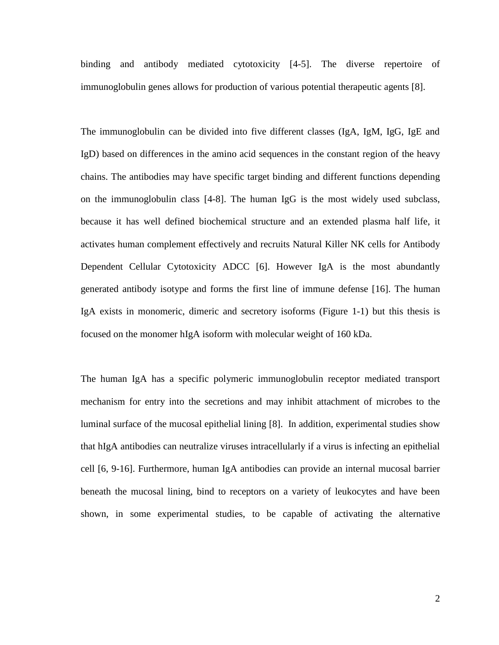binding and antibody mediated cytotoxicity [4-5]. The diverse repertoire of immunoglobulin genes allows for production of various potential therapeutic agents [8].

The immunoglobulin can be divided into five different classes (IgA, IgM, IgG, IgE and IgD) based on differences in the amino acid sequences in the constant region of the heavy chains. The antibodies may have specific target binding and different functions depending on the immunoglobulin class [4-8]. The human IgG is the most widely used subclass, because it has well defined biochemical structure and an extended plasma half life, it activates human complement effectively and recruits Natural Killer NK cells for Antibody Dependent Cellular Cytotoxicity ADCC [6]. However IgA is the most abundantly generated antibody isotype and forms the first line of immune defense [16]. The human IgA exists in monomeric, dimeric and secretory isoforms (Figure 1-1) but this thesis is focused on the monomer hIgA isoform with molecular weight of 160 kDa.

The human IgA has a specific polymeric immunoglobulin receptor mediated transport mechanism for entry into the secretions and may inhibit attachment of microbes to the luminal surface of the mucosal epithelial lining [8]. In addition, experimental studies show that hIgA antibodies can neutralize viruses intracellularly if a virus is infecting an epithelial cell [6, 9-16]. Furthermore, human IgA antibodies can provide an internal mucosal barrier beneath the mucosal lining, bind to receptors on a variety of leukocytes and have been shown, in some experimental studies, to be capable of activating the alternative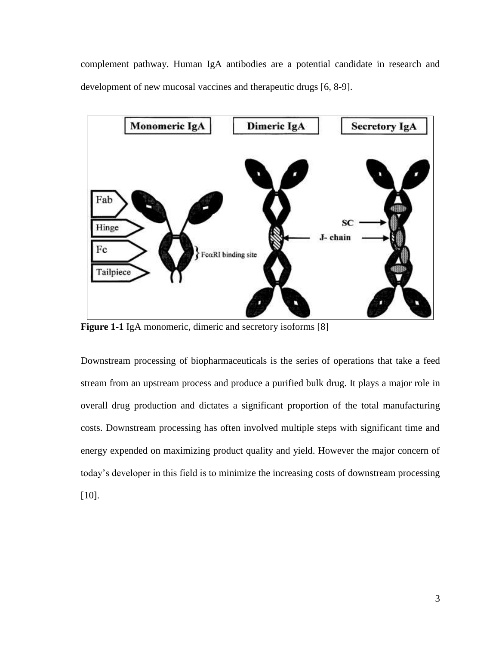complement pathway. Human IgA antibodies are a potential candidate in research and development of new mucosal vaccines and therapeutic drugs [6, 8-9].



**Figure 1-1** IgA monomeric, dimeric and secretory isoforms [8]

Downstream processing of biopharmaceuticals is the series of operations that take a feed stream from an upstream process and produce a purified bulk drug. It plays a major role in overall drug production and dictates a significant proportion of the total manufacturing costs. Downstream processing has often involved multiple steps with significant time and energy expended on maximizing product quality and yield. However the major concern of today's developer in this field is to minimize the increasing costs of downstream processing [10].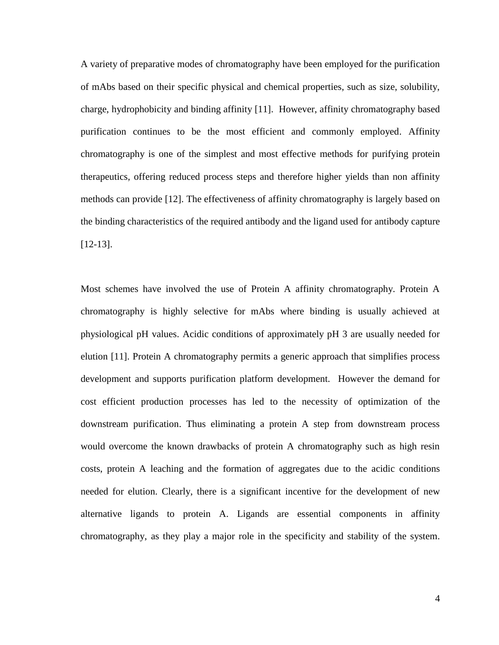A variety of preparative modes of chromatography have been employed for the purification of mAbs based on their specific physical and chemical properties, such as size, solubility, charge, hydrophobicity and binding affinity [11]. However, affinity chromatography based purification continues to be the most efficient and commonly employed. Affinity chromatography is one of the simplest and most effective methods for purifying protein therapeutics, offering reduced process steps and therefore higher yields than non affinity methods can provide [12]. The effectiveness of affinity chromatography is largely based on the binding characteristics of the required antibody and the ligand used for antibody capture [12-13].

Most schemes have involved the use of Protein A affinity chromatography. Protein A chromatography is highly selective for mAbs where binding is usually achieved at physiological pH values. Acidic conditions of approximately pH 3 are usually needed for elution [11]. Protein A chromatography permits a generic approach that simplifies process development and supports purification platform development. However the demand for cost efficient production processes has led to the necessity of optimization of the downstream purification. Thus eliminating a protein A step from downstream process would overcome the known drawbacks of protein A chromatography such as high resin costs, protein A leaching and the formation of aggregates due to the acidic conditions needed for elution. Clearly, there is a significant incentive for the development of new alternative ligands to protein A. Ligands are essential components in affinity chromatography, as they play a major role in the specificity and stability of the system.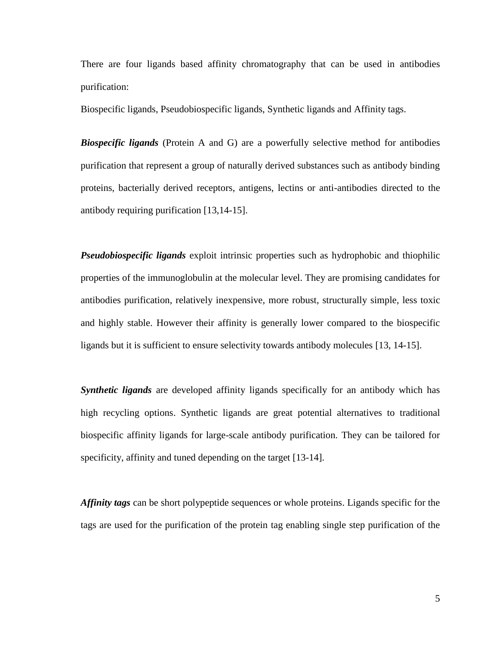There are four ligands based affinity chromatography that can be used in antibodies purification:

Biospecific ligands, Pseudobiospecific ligands, Synthetic ligands and Affinity tags.

**Biospecific ligands** (Protein A and G) are a powerfully selective method for antibodies purification that represent a group of naturally derived substances such as antibody binding proteins, bacterially derived receptors, antigens, lectins or anti-antibodies directed to the antibody requiring purification [13,14-15].

*Pseudobiospecific ligands* exploit intrinsic properties such as hydrophobic and thiophilic properties of the immunoglobulin at the molecular level. They are promising candidates for antibodies purification, relatively inexpensive, more robust, structurally simple, less toxic and highly stable. However their affinity is generally lower compared to the biospecific ligands but it is sufficient to ensure selectivity towards antibody molecules [13, 14-15].

**Synthetic ligands** are developed affinity ligands specifically for an antibody which has high recycling options. Synthetic ligands are great potential alternatives to traditional biospecific affinity ligands for large-scale antibody purification. They can be tailored for specificity, affinity and tuned depending on the target [13-14].

*Affinity tags* can be short polypeptide sequences or whole proteins. Ligands specific for the tags are used for the purification of the protein tag enabling single step purification of the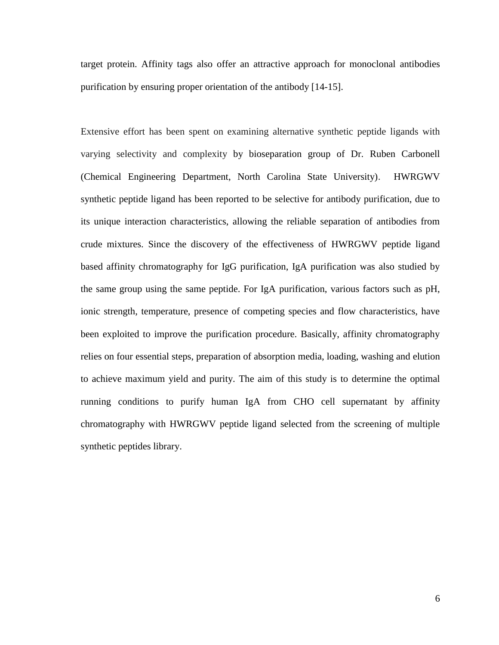target protein. Affinity tags also offer an attractive approach for monoclonal antibodies purification by ensuring proper orientation of the antibody [14-15].

Extensive effort has been spent on examining alternative synthetic peptide ligands with varying selectivity and complexity by bioseparation group of Dr. Ruben Carbonell (Chemical Engineering Department, North Carolina State University). HWRGWV synthetic peptide ligand has been reported to be selective for antibody purification, due to its unique interaction characteristics, allowing the reliable separation of antibodies from crude mixtures. Since the discovery of the effectiveness of HWRGWV peptide ligand based affinity chromatography for IgG purification, IgA purification was also studied by the same group using the same peptide. For IgA purification, various factors such as pH, ionic strength, temperature, presence of competing species and flow characteristics, have been exploited to improve the purification procedure. Basically, affinity chromatography relies on four essential steps, preparation of absorption media, loading, washing and elution to achieve maximum yield and purity. The aim of this study is to determine the optimal running conditions to purify human IgA from CHO cell supernatant by affinity chromatography with HWRGWV peptide ligand selected from the screening of multiple synthetic peptides library.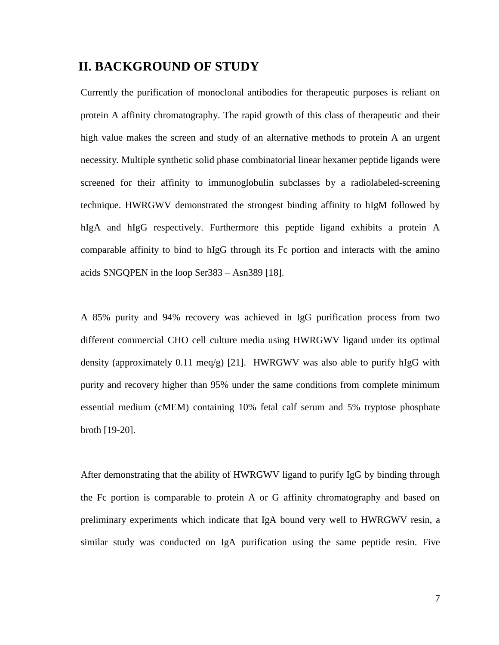### <span id="page-17-0"></span>**II. BACKGROUND OF STUDY**

Currently the purification of monoclonal antibodies for therapeutic purposes is reliant on protein A affinity chromatography. The rapid growth of this class of therapeutic and their high value makes the screen and study of an alternative methods to protein A an urgent necessity. Multiple synthetic solid phase combinatorial linear hexamer peptide ligands were screened for their affinity to immunoglobulin subclasses by a radiolabeled-screening technique. HWRGWV demonstrated the strongest binding affinity to hIgM followed by hIgA and hIgG respectively. Furthermore this peptide ligand exhibits a protein A comparable affinity to bind to hIgG through its Fc portion and interacts with the amino acids SNGQPEN in the loop Ser383 – Asn389 [18].

A 85% purity and 94% recovery was achieved in IgG purification process from two different commercial CHO cell culture media using HWRGWV ligand under its optimal density (approximately 0.11 meq/g) [21]. HWRGWV was also able to purify hIgG with purity and recovery higher than 95% under the same conditions from complete minimum essential medium (cMEM) containing 10% fetal calf serum and 5% tryptose phosphate broth [19-20].

After demonstrating that the ability of HWRGWV ligand to purify IgG by binding through the Fc portion is comparable to protein A or G affinity chromatography and based on preliminary experiments which indicate that IgA bound very well to HWRGWV resin, a similar study was conducted on IgA purification using the same peptide resin. Five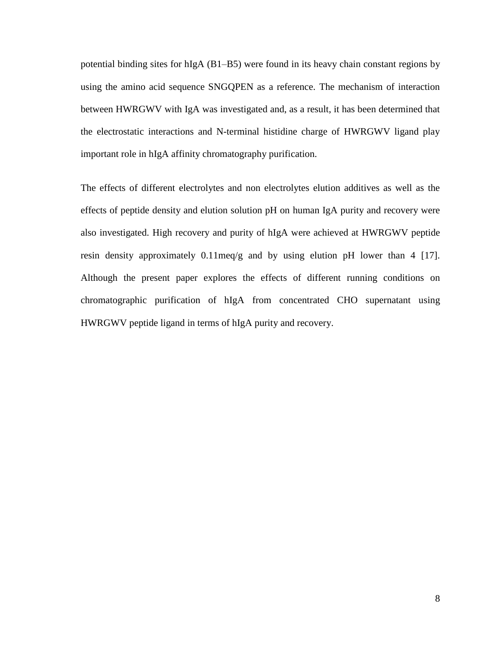potential binding sites for hIgA (B1–B5) were found in its heavy chain constant regions by using the amino acid sequence SNGQPEN as a reference. The mechanism of interaction between HWRGWV with IgA was investigated and, as a result, it has been determined that the electrostatic interactions and N-terminal histidine charge of HWRGWV ligand play important role in hIgA affinity chromatography purification.

The effects of different electrolytes and non electrolytes elution additives as well as the effects of peptide density and elution solution pH on human IgA purity and recovery were also investigated. High recovery and purity of hIgA were achieved at HWRGWV peptide resin density approximately 0.11meq/g and by using elution pH lower than 4 [17]. Although the present paper explores the effects of different running conditions on chromatographic purification of hIgA from concentrated CHO supernatant using HWRGWV peptide ligand in terms of hIgA purity and recovery.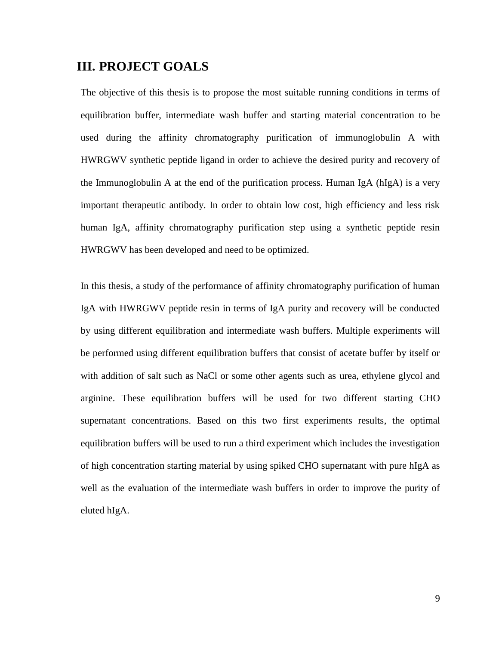# <span id="page-19-0"></span>**III. PROJECT GOALS**

The objective of this thesis is to propose the most suitable running conditions in terms of equilibration buffer, intermediate wash buffer and starting material concentration to be used during the affinity chromatography purification of immunoglobulin A with HWRGWV synthetic peptide ligand in order to achieve the desired purity and recovery of the Immunoglobulin A at the end of the purification process. Human IgA (hIgA) is a very important therapeutic antibody. In order to obtain low cost, high efficiency and less risk human IgA, affinity chromatography purification step using a synthetic peptide resin HWRGWV has been developed and need to be optimized.

In this thesis, a study of the performance of affinity chromatography purification of human IgA with HWRGWV peptide resin in terms of IgA purity and recovery will be conducted by using different equilibration and intermediate wash buffers. Multiple experiments will be performed using different equilibration buffers that consist of acetate buffer by itself or with addition of salt such as NaCl or some other agents such as urea, ethylene glycol and arginine. These equilibration buffers will be used for two different starting CHO supernatant concentrations. Based on this two first experiments results, the optimal equilibration buffers will be used to run a third experiment which includes the investigation of high concentration starting material by using spiked CHO supernatant with pure hIgA as well as the evaluation of the intermediate wash buffers in order to improve the purity of eluted hIgA.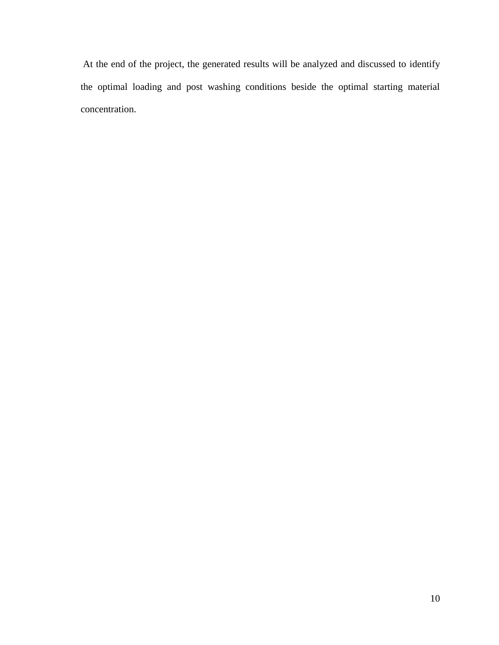At the end of the project, the generated results will be analyzed and discussed to identify the optimal loading and post washing conditions beside the optimal starting material concentration.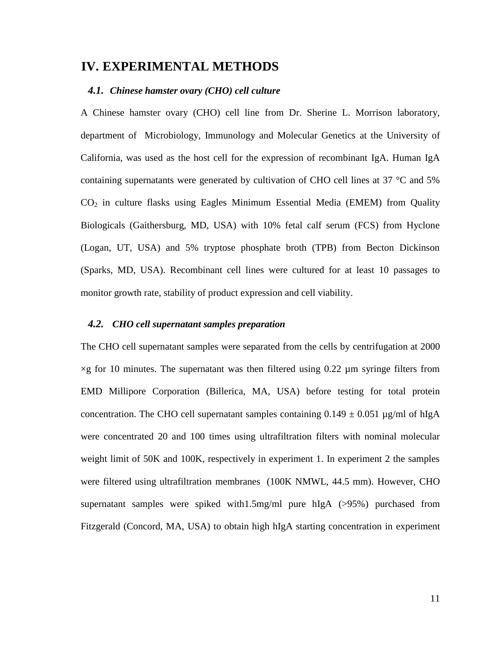### <span id="page-21-0"></span>**IV. EXPERIMENTAL METHODS**

#### <span id="page-21-1"></span>*4.1. Chinese hamster ovary (CHO) cell culture*

A Chinese hamster ovary (CHO) cell line from Dr. Sherine L. Morrison laboratory, department of [Microbiology, Immunology and Molecular Genetics](http://www.mimg.ucla.edu/) at the University of California, was used as the host cell for the expression of recombinant IgA. Human IgA containing supernatants were generated by cultivation of CHO cell lines at 37 °C and 5%  $CO<sub>2</sub>$  in culture flasks using Eagles Minimum Essential Media (EMEM) from Quality Biologicals (Gaithersburg, MD, USA) with 10% fetal calf serum (FCS) from Hyclone (Logan, UT, USA) and 5% tryptose phosphate broth (TPB) from Becton Dickinson (Sparks, MD, USA). Recombinant cell lines were cultured for at least 10 passages to monitor growth rate, stability of product expression and cell viability.

#### <span id="page-21-2"></span>*4.2. CHO cell supernatant samples preparation*

The CHO cell supernatant samples were separated from the cells by centrifugation at 2000  $\times$ g for 10 minutes. The supernatant was then filtered using 0.22 µm syringe filters from EMD Millipore Corporation (Billerica, MA, USA) before testing for total protein concentration. The CHO cell supernatant samples containing  $0.149 \pm 0.051$  µg/ml of hIgA were concentrated 20 and 100 times using ultrafiltration filters with nominal molecular weight limit of 50K and 100K, respectively in experiment 1. In experiment 2 the samples were filtered using ultrafiltration membranes (100K NMWL, 44.5 mm). However, CHO supernatant samples were spiked with1.5mg/ml pure hIgA (>95%) purchased from Fitzgerald (Concord, MA, USA) to obtain high hIgA starting concentration in experiment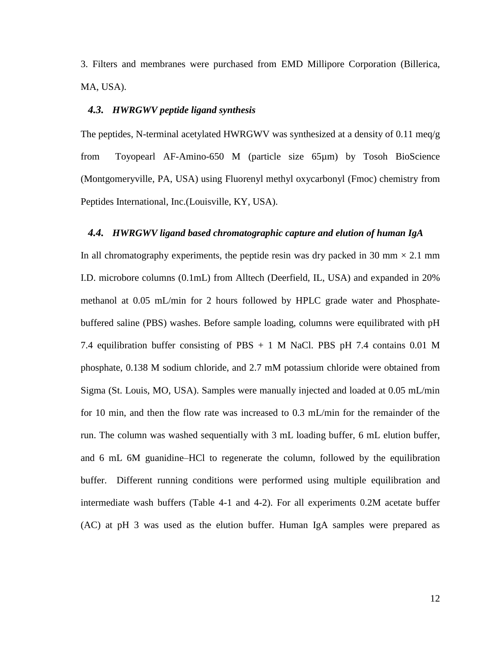3. Filters and membranes were purchased from EMD Millipore Corporation (Billerica, MA, USA).

#### <span id="page-22-0"></span>*4.3. HWRGWV peptide ligand synthesis*

The peptides, N-terminal acetylated HWRGWV was synthesized at a density of 0.11 meq/g from Toyopearl AF-Amino-650 M (particle size 65µm) by Tosoh BioScience (Montgomeryville, PA, USA) using Fluorenyl methyl oxycarbonyl (Fmoc) chemistry from Peptides International, Inc.(Louisville, KY, USA).

#### <span id="page-22-1"></span>*4.4. HWRGWV ligand based chromatographic capture and elution of human IgA*

In all chromatography experiments, the peptide resin was dry packed in 30 mm  $\times$  2.1 mm I.D. microbore columns (0.1mL) from Alltech (Deerfield, IL, USA) and expanded in 20% methanol at 0.05 mL/min for 2 hours followed by HPLC grade water and Phosphatebuffered saline (PBS) washes. Before sample loading, columns were equilibrated with pH 7.4 equilibration buffer consisting of PBS + 1 M NaCl. PBS pH 7.4 contains 0.01 M phosphate, 0.138 M sodium chloride, and 2.7 mM potassium chloride were obtained from Sigma (St. Louis, MO, USA). Samples were manually injected and loaded at 0.05 mL/min for 10 min, and then the flow rate was increased to 0.3 mL/min for the remainder of the run. The column was washed sequentially with 3 mL loading buffer, 6 mL elution buffer, and 6 mL 6M guanidine–HCl to regenerate the column, followed by the equilibration buffer. Different running conditions were performed using multiple equilibration and intermediate wash buffers (Table 4-1 and 4-2). For all experiments 0.2M acetate buffer (AC) at pH 3 was used as the elution buffer. Human IgA samples were prepared as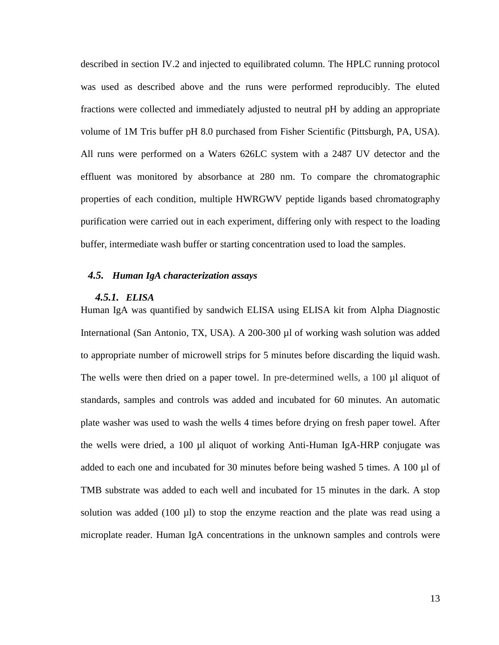described in section IV.2 and injected to equilibrated column. The HPLC running protocol was used as described above and the runs were performed reproducibly. The eluted fractions were collected and immediately adjusted to neutral pH by adding an appropriate volume of 1M Tris buffer pH 8.0 purchased from Fisher Scientific (Pittsburgh, PA, USA). All runs were performed on a Waters 626LC system with a 2487 UV detector and the effluent was monitored by absorbance at 280 nm. To compare the chromatographic properties of each condition, multiple HWRGWV peptide ligands based chromatography purification were carried out in each experiment, differing only with respect to the loading buffer, intermediate wash buffer or starting concentration used to load the samples.

#### <span id="page-23-0"></span>*4.5. Human IgA characterization assays*

#### <span id="page-23-1"></span>*4.5.1. ELISA*

Human IgA was quantified by sandwich ELISA using ELISA kit from Alpha Diagnostic International (San Antonio, TX, USA). A 200-300 µl of working wash solution was added to appropriate number of microwell strips for 5 minutes before discarding the liquid wash. The wells were then dried on a paper towel. In pre-determined wells, a 100 µl aliquot of standards, samples and controls was added and incubated for 60 minutes. An automatic plate washer was used to wash the wells 4 times before drying on fresh paper towel. After the wells were dried, a 100 µl aliquot of working Anti-Human IgA-HRP conjugate was added to each one and incubated for 30 minutes before being washed 5 times. A 100 µl of TMB substrate was added to each well and incubated for 15 minutes in the dark. A stop solution was added (100 µl) to stop the enzyme reaction and the plate was read using a microplate reader. Human IgA concentrations in the unknown samples and controls were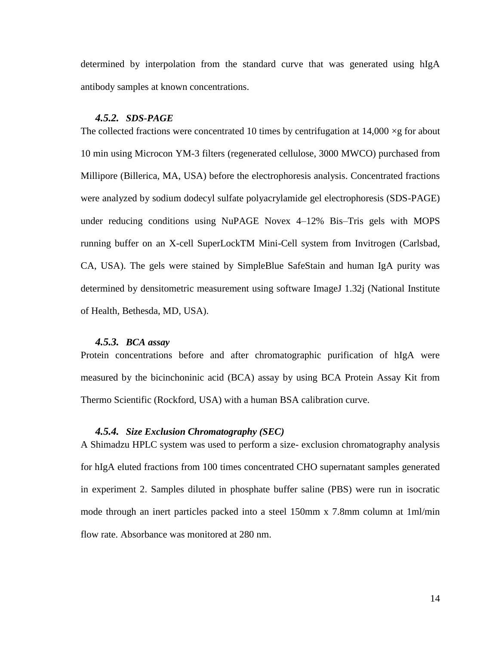determined by interpolation from the standard curve that was generated using hIgA antibody samples at known concentrations.

#### <span id="page-24-0"></span>*4.5.2. SDS-PAGE*

The collected fractions were concentrated 10 times by centrifugation at  $14,000 \times g$  for about 10 min using Microcon YM-3 filters (regenerated cellulose, 3000 MWCO) purchased from Millipore (Billerica, MA, USA) before the electrophoresis analysis. Concentrated fractions were analyzed by sodium dodecyl sulfate polyacrylamide gel electrophoresis (SDS-PAGE) under reducing conditions using NuPAGE Novex 4–12% Bis–Tris gels with MOPS running buffer on an X-cell SuperLockTM Mini-Cell system from Invitrogen (Carlsbad, CA, USA). The gels were stained by SimpleBlue SafeStain and human IgA purity was determined by densitometric measurement using software ImageJ 1.32j (National Institute of Health, Bethesda, MD, USA).

#### <span id="page-24-1"></span>*4.5.3. BCA assay*

Protein concentrations before and after chromatographic purification of hIgA were measured by the bicinchoninic acid (BCA) assay by using BCA Protein Assay Kit from Thermo Scientific (Rockford, USA) with a human BSA calibration curve.

#### <span id="page-24-2"></span>*4.5.4. Size Exclusion Chromatography (SEC)*

A Shimadzu HPLC system was used to perform a size- exclusion chromatography analysis for hIgA eluted fractions from 100 times concentrated CHO supernatant samples generated in experiment 2. Samples diluted in phosphate buffer saline (PBS) were run in isocratic mode through an inert particles packed into a steel 150mm x 7.8mm column at 1ml/min flow rate. Absorbance was monitored at 280 nm.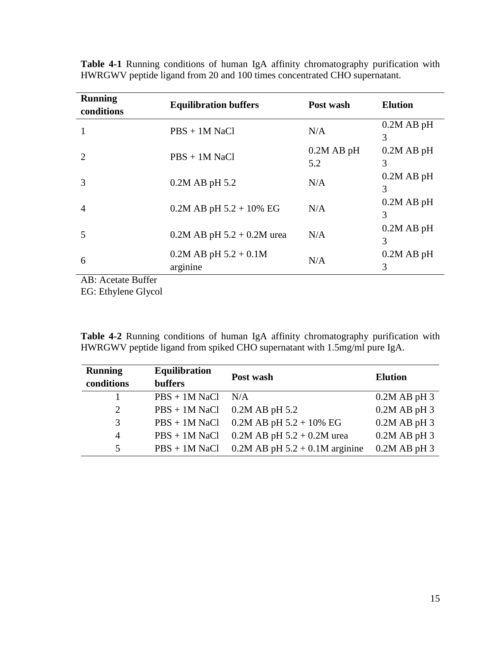| <b>Running</b><br>conditions          | <b>Equilibration buffers</b>          | Post wash           | <b>Elution</b>    |
|---------------------------------------|---------------------------------------|---------------------|-------------------|
| 1                                     | $PBS + 1M$ NaCl                       | N/A                 | $0.2M$ AB pH<br>3 |
| 2                                     | $PBS + 1M$ NaCl                       | $0.2M$ AB pH<br>5.2 | $0.2M$ AB pH<br>3 |
| 3                                     | $0.2M$ AB pH 5.2                      | N/A                 | $0.2M$ AB pH<br>3 |
| $\overline{4}$                        | $0.2M$ AB pH $5.2 + 10\%$ EG          | N/A                 | $0.2M$ AB pH<br>3 |
| 5                                     | $0.2M$ AB pH $5.2 + 0.2M$ urea        | N/A                 | $0.2M$ AB pH<br>3 |
| 6                                     | $0.2M$ AB pH $5.2 + 0.1M$<br>arginine | N/A                 | $0.2M$ AB pH<br>3 |
| $\Delta R \cdot \Delta$ cetate Ruffer |                                       |                     |                   |

**Table 4-1** Running conditions of human IgA affinity chromatography purification with HWRGWV peptide ligand from 20 and 100 times concentrated CHO supernatant.

AB: Acetate Buffer EG: Ethylene Glycol

**Table 4-2** Running conditions of human IgA affinity chromatography purification with HWRGWV peptide ligand from spiked CHO supernatant with 1.5mg/ml pure IgA.

| <b>Running</b> | <b>Equilibration</b> | Post wash                          | <b>Elution</b> |
|----------------|----------------------|------------------------------------|----------------|
| conditions     | <b>buffers</b>       |                                    |                |
|                | $PBS + 1M$ NaCl      | N/A                                | $0.2M$ AB pH 3 |
| 2              | $PBS + 1M$ NaCl      | $0.2M$ AB pH 5.2                   | $0.2M$ AB pH 3 |
| 3              | $PBS + 1M$ NaCl      | $0.2M$ AB pH 5.2 + 10% EG          | $0.2M$ AB pH 3 |
| $\overline{4}$ | $PBS + 1M$ NaCl      | $0.2M$ AB pH $5.2 + 0.2M$ urea     | $0.2M$ AB pH 3 |
| 5.             | $PBS + 1M$ NaCl      | $0.2M$ AB pH $5.2 + 0.1M$ arginine | $0.2M$ AB pH 3 |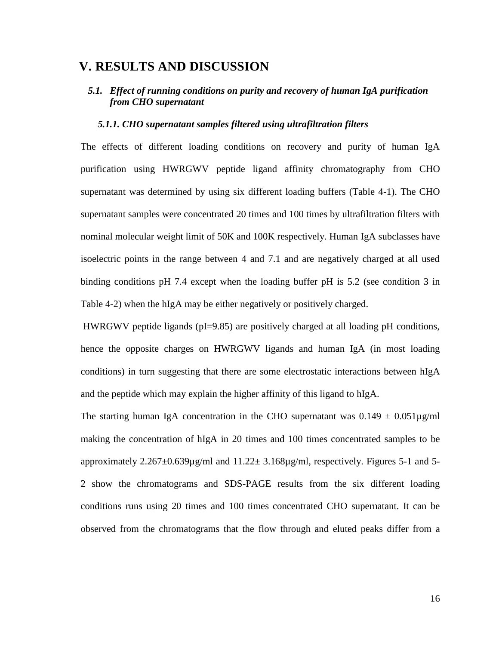### <span id="page-26-0"></span>**V. RESULTS AND DISCUSSION**

#### <span id="page-26-1"></span>*5.1. Effect of running conditions on purity and recovery of human IgA purification from CHO supernatant*

#### <span id="page-26-2"></span> *5.1.1. CHO supernatant samples filtered using ultrafiltration filters*

The effects of different loading conditions on recovery and purity of human IgA purification using HWRGWV peptide ligand affinity chromatography from CHO supernatant was determined by using six different loading buffers (Table 4-1). The CHO supernatant samples were concentrated 20 times and 100 times by ultrafiltration filters with nominal molecular weight limit of 50K and 100K respectively. Human IgA subclasses have isoelectric points in the range between 4 and 7.1 and are negatively charged at all used binding conditions pH 7.4 except when the loading buffer pH is 5.2 (see condition 3 in Table 4-2) when the hIgA may be either negatively or positively charged.

HWRGWV peptide ligands ( $pI=9.85$ ) are positively charged at all loading  $pH$  conditions, hence the opposite charges on HWRGWV ligands and human IgA (in most loading conditions) in turn suggesting that there are some electrostatic interactions between hIgA and the peptide which may explain the higher affinity of this ligand to hIgA.

The starting human IgA concentration in the CHO supernatant was  $0.149 \pm 0.051 \mu$ g/ml making the concentration of hIgA in 20 times and 100 times concentrated samples to be approximately  $2.267 \pm 0.639 \mu$ g/ml and  $11.22 \pm 3.168 \mu$ g/ml, respectively. Figures 5-1 and 5-2 show the chromatograms and SDS-PAGE results from the six different loading conditions runs using 20 times and 100 times concentrated CHO supernatant. It can be observed from the chromatograms that the flow through and eluted peaks differ from a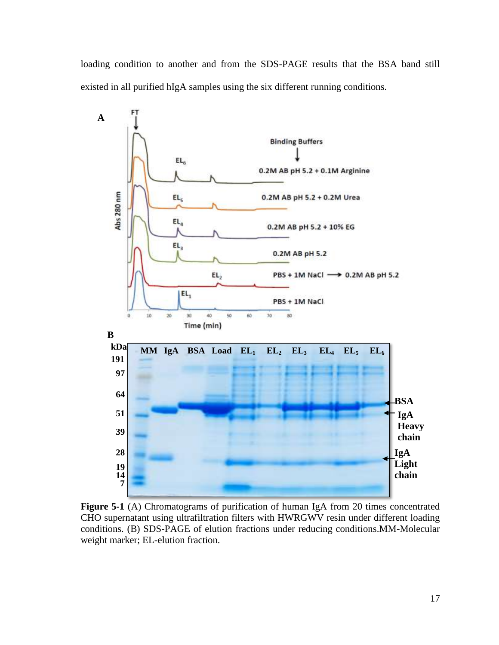loading condition to another and from the SDS-PAGE results that the BSA band still existed in all purified hIgA samples using the six different running conditions.



Figure 5-1 (A) Chromatograms of purification of human IgA from 20 times concentrated CHO supernatant using ultrafiltration filters with HWRGWV resin under different loading conditions. (B) SDS-PAGE of elution fractions under reducing conditions.MM-Molecular weight marker; EL-elution fraction.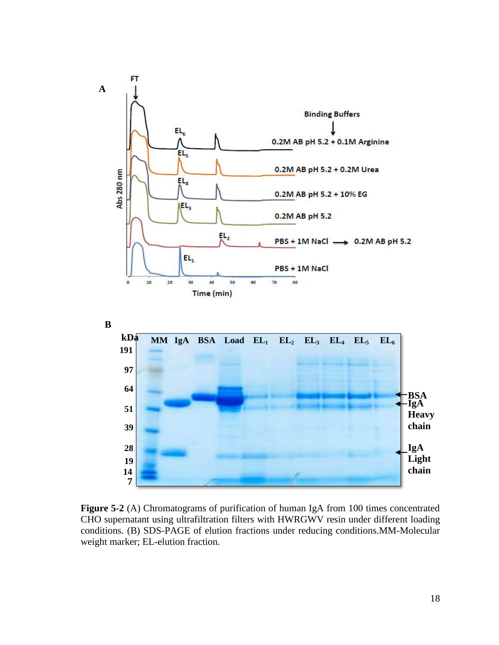

**Figure 5-2** (A) Chromatograms of purification of human IgA from 100 times concentrated CHO supernatant using ultrafiltration filters with HWRGWV resin under different loading conditions. (B) SDS-PAGE of elution fractions under reducing conditions.MM-Molecular weight marker; EL-elution fraction.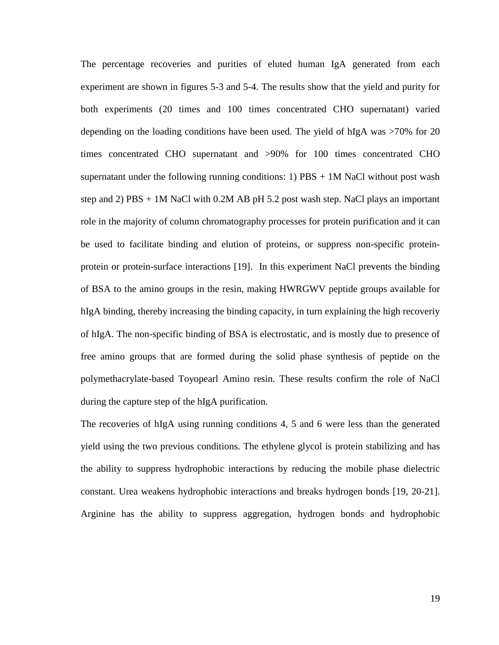The percentage recoveries and purities of eluted human IgA generated from each experiment are shown in figures 5-3 and 5-4. The results show that the yield and purity for both experiments (20 times and 100 times concentrated CHO supernatant) varied depending on the loading conditions have been used. The yield of hIgA was >70% for 20 times concentrated CHO supernatant and >90% for 100 times concentrated CHO supernatant under the following running conditions: 1)  $\text{PBS} + 1\text{M}$  NaCl without post wash step and 2) PBS + 1M NaCl with 0.2M AB pH 5.2 post wash step. NaCl plays an important role in the majority of column chromatography processes for protein purification and it can be used to facilitate binding and elution of proteins, or suppress non-specific proteinprotein or protein-surface interactions [19]. In this experiment NaCl prevents the binding of BSA to the amino groups in the resin, making HWRGWV peptide groups available for hIgA binding, thereby increasing the binding capacity, in turn explaining the high recoveriy of hIgA. The non-specific binding of BSA is electrostatic, and is mostly due to presence of free amino groups that are formed during the solid phase synthesis of peptide on the polymethacrylate-based Toyopearl Amino resin. These results confirm the role of NaCl during the capture step of the hIgA purification.

The recoveries of hIgA using running conditions 4, 5 and 6 were less than the generated yield using the two previous conditions. The ethylene glycol is protein stabilizing and has the ability to suppress hydrophobic interactions by reducing the mobile phase dielectric constant. Urea weakens hydrophobic interactions and breaks hydrogen bonds [19, 20-21]. Arginine has the ability to suppress aggregation, hydrogen bonds and hydrophobic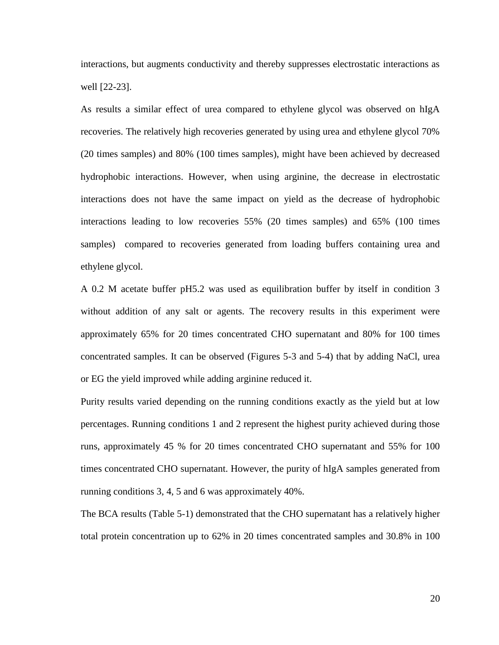interactions, but augments conductivity and thereby suppresses electrostatic interactions as well [22-23].

As results a similar effect of urea compared to ethylene glycol was observed on hIgA recoveries. The relatively high recoveries generated by using urea and ethylene glycol 70% (20 times samples) and 80% (100 times samples), might have been achieved by decreased hydrophobic interactions. However, when using arginine, the decrease in electrostatic interactions does not have the same impact on yield as the decrease of hydrophobic interactions leading to low recoveries 55% (20 times samples) and 65% (100 times samples) compared to recoveries generated from loading buffers containing urea and ethylene glycol.

A 0.2 M acetate buffer pH5.2 was used as equilibration buffer by itself in condition 3 without addition of any salt or agents. The recovery results in this experiment were approximately 65% for 20 times concentrated CHO supernatant and 80% for 100 times concentrated samples. It can be observed (Figures 5-3 and 5-4) that by adding NaCl, urea or EG the yield improved while adding arginine reduced it.

Purity results varied depending on the running conditions exactly as the yield but at low percentages. Running conditions 1 and 2 represent the highest purity achieved during those runs, approximately 45 % for 20 times concentrated CHO supernatant and 55% for 100 times concentrated CHO supernatant. However, the purity of hIgA samples generated from running conditions 3, 4, 5 and 6 was approximately 40%.

The BCA results (Table 5-1) demonstrated that the CHO supernatant has a relatively higher total protein concentration up to 62% in 20 times concentrated samples and 30.8% in 100

20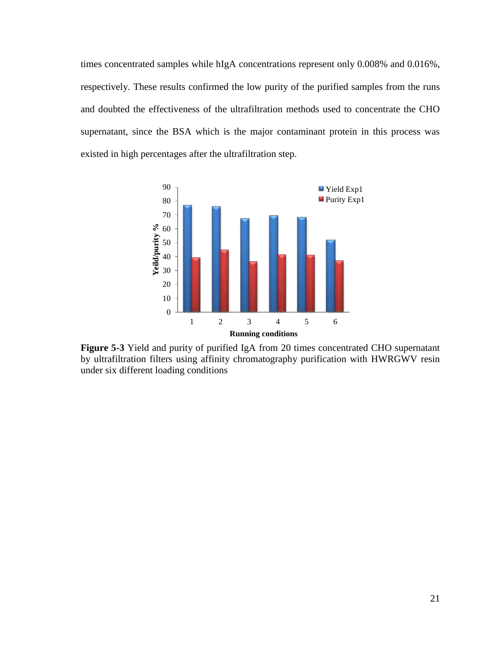times concentrated samples while hIgA concentrations represent only 0.008% and 0.016%, respectively. These results confirmed the low purity of the purified samples from the runs and doubted the effectiveness of the ultrafiltration methods used to concentrate the CHO supernatant, since the BSA which is the major contaminant protein in this process was existed in high percentages after the ultrafiltration step.



**Figure 5-3** Yield and purity of purified IgA from 20 times concentrated CHO supernatant by ultrafiltration filters using affinity chromatography purification with HWRGWV resin under six different loading conditions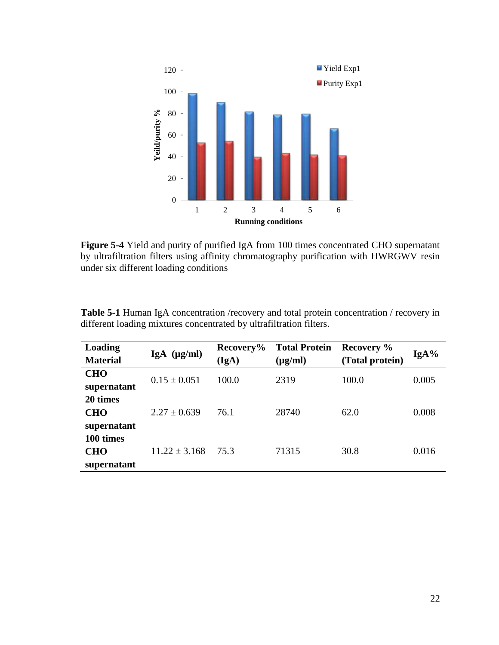

**Figure 5-4** Yield and purity of purified IgA from 100 times concentrated CHO supernatant by ultrafiltration filters using affinity chromatography purification with HWRGWV resin under six different loading conditions

| Loading<br><b>Material</b>             | $IgA$ ( $\mu g/ml$ ) | Recovery%<br>(IgA) | <b>Total Protein</b><br>$(\mu g/ml)$ | Recovery %<br>(Total protein) | IgA%  |
|----------------------------------------|----------------------|--------------------|--------------------------------------|-------------------------------|-------|
| <b>CHO</b><br>supernatant              | $0.15 \pm 0.051$     | 100.0              | 2319                                 | 100.0                         | 0.005 |
| 20 times<br><b>CHO</b><br>supernatant  | $2.27 \pm 0.639$     | 76.1               | 28740                                | 62.0                          | 0.008 |
| 100 times<br><b>CHO</b><br>supernatant | $11.22 \pm 3.168$    | 75.3               | 71315                                | 30.8                          | 0.016 |

**Table 5-1** Human IgA concentration /recovery and total protein concentration / recovery in different loading mixtures concentrated by ultrafiltration filters.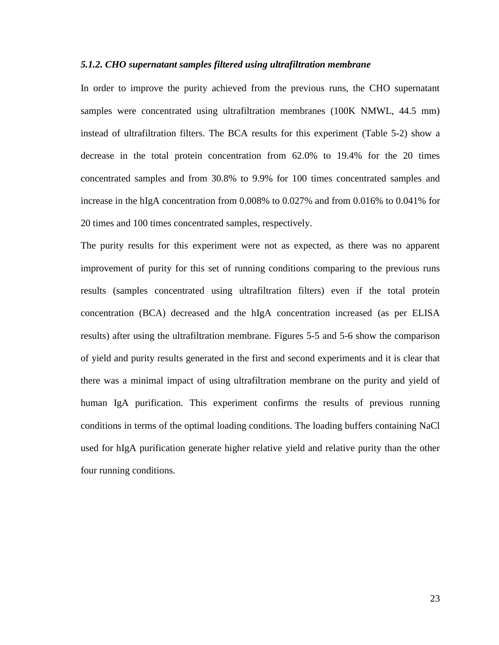#### <span id="page-33-0"></span>*5.1.2. CHO supernatant samples filtered using ultrafiltration membrane*

In order to improve the purity achieved from the previous runs, the CHO supernatant samples were concentrated using ultrafiltration membranes (100K NMWL, 44.5 mm) instead of ultrafiltration filters. The BCA results for this experiment (Table 5-2) show a decrease in the total protein concentration from 62.0% to 19.4% for the 20 times concentrated samples and from 30.8% to 9.9% for 100 times concentrated samples and increase in the hIgA concentration from 0.008% to 0.027% and from 0.016% to 0.041% for 20 times and 100 times concentrated samples, respectively.

The purity results for this experiment were not as expected, as there was no apparent improvement of purity for this set of running conditions comparing to the previous runs results (samples concentrated using ultrafiltration filters) even if the total protein concentration (BCA) decreased and the hIgA concentration increased (as per ELISA results) after using the ultrafiltration membrane. Figures 5-5 and 5-6 show the comparison of yield and purity results generated in the first and second experiments and it is clear that there was a minimal impact of using ultrafiltration membrane on the purity and yield of human IgA purification. This experiment confirms the results of previous running conditions in terms of the optimal loading conditions. The loading buffers containing NaCl used for hIgA purification generate higher relative yield and relative purity than the other four running conditions.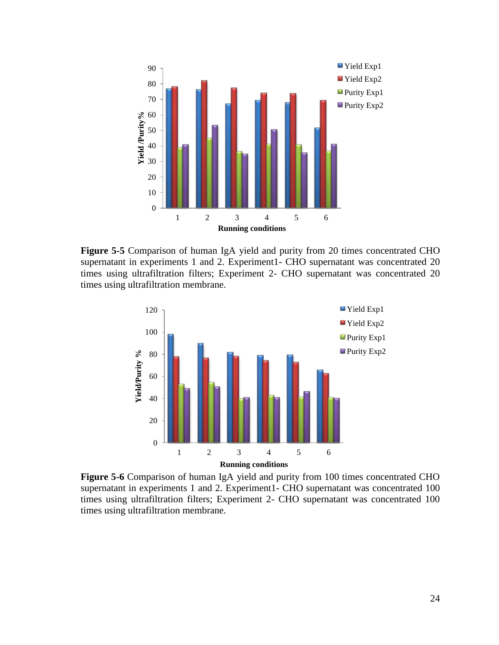

**Figure 5-5** Comparison of human IgA yield and purity from 20 times concentrated CHO supernatant in experiments 1 and 2. Experiment1- CHO supernatant was concentrated 20 times using ultrafiltration filters; Experiment 2- CHO supernatant was concentrated 20 times using ultrafiltration membrane.



**Figure 5-6** Comparison of human IgA yield and purity from 100 times concentrated CHO supernatant in experiments 1 and 2. Experiment1- CHO supernatant was concentrated 100 times using ultrafiltration filters; Experiment 2- CHO supernatant was concentrated 100 times using ultrafiltration membrane.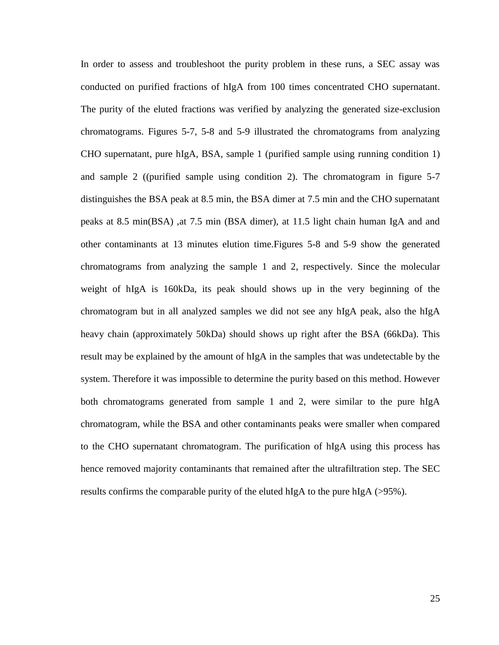In order to assess and troubleshoot the purity problem in these runs, a SEC assay was conducted on purified fractions of hIgA from 100 times concentrated CHO supernatant. The purity of the eluted fractions was verified by analyzing the generated size-exclusion chromatograms. Figures 5-7, 5-8 and 5-9 illustrated the chromatograms from analyzing CHO supernatant, pure hIgA, BSA, sample 1 (purified sample using running condition 1) and sample 2 ((purified sample using condition 2). The chromatogram in figure 5-7 distinguishes the BSA peak at 8.5 min, the BSA dimer at 7.5 min and the CHO supernatant peaks at 8.5 min(BSA) ,at 7.5 min (BSA dimer), at 11.5 light chain human IgA and and other contaminants at 13 minutes elution time.Figures 5-8 and 5-9 show the generated chromatograms from analyzing the sample 1 and 2, respectively. Since the molecular weight of hIgA is 160kDa, its peak should shows up in the very beginning of the chromatogram but in all analyzed samples we did not see any hIgA peak, also the hIgA heavy chain (approximately 50kDa) should shows up right after the BSA (66kDa). This result may be explained by the amount of hIgA in the samples that was undetectable by the system. Therefore it was impossible to determine the purity based on this method. However both chromatograms generated from sample 1 and 2, were similar to the pure hIgA chromatogram, while the BSA and other contaminants peaks were smaller when compared to the CHO supernatant chromatogram. The purification of hIgA using this process has hence removed majority contaminants that remained after the ultrafiltration step. The SEC results confirms the comparable purity of the eluted hIgA to the pure hIgA (>95%).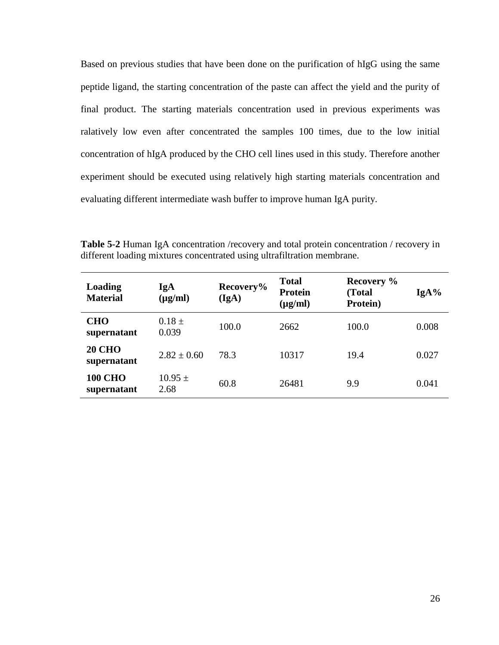Based on previous studies that have been done on the purification of hIgG using the same peptide ligand, the starting concentration of the paste can affect the yield and the purity of final product. The starting materials concentration used in previous experiments was ralatively low even after concentrated the samples 100 times, due to the low initial concentration of hIgA produced by the CHO cell lines used in this study. Therefore another experiment should be executed using relatively high starting materials concentration and evaluating different intermediate wash buffer to improve human IgA purity.

**Table 5-2** Human IgA concentration /recovery and total protein concentration / recovery in different loading mixtures concentrated using ultrafiltration membrane.

| Loading<br><b>Material</b>    | IgA<br>$(\mu g/ml)$ | Recovery%<br>(IgA) | <b>Total</b><br><b>Protein</b><br>$(\mu g/ml)$ | Recovery %<br>(Total<br>Protein) | $IgA\%$ |
|-------------------------------|---------------------|--------------------|------------------------------------------------|----------------------------------|---------|
| <b>CHO</b><br>supernatant     | $0.18 \pm$<br>0.039 | 100.0              | 2662                                           | 100.0                            | 0.008   |
| <b>20 CHO</b><br>supernatant  | $2.82 \pm 0.60$     | 78.3               | 10317                                          | 19.4                             | 0.027   |
| <b>100 CHO</b><br>supernatant | $10.95 \pm$<br>2.68 | 60.8               | 26481                                          | 9.9                              | 0.041   |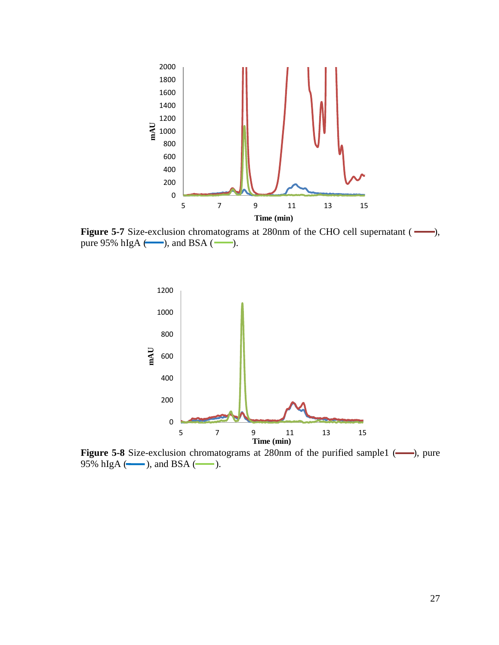

**Figure 5-7** Size-exclusion chromatograms at 280nm of the CHO cell supernatant ( $\longrightarrow$ ), pure 95% hIgA  $(\_\_\$ ), and BSA  $(\_\_\$ ).



**Figure 5-8** Size-exclusion chromatograms at 280nm of the purified sample1 (-), pure 95% hIgA ( $\qquad$ ), and BSA ( $\qquad$ ).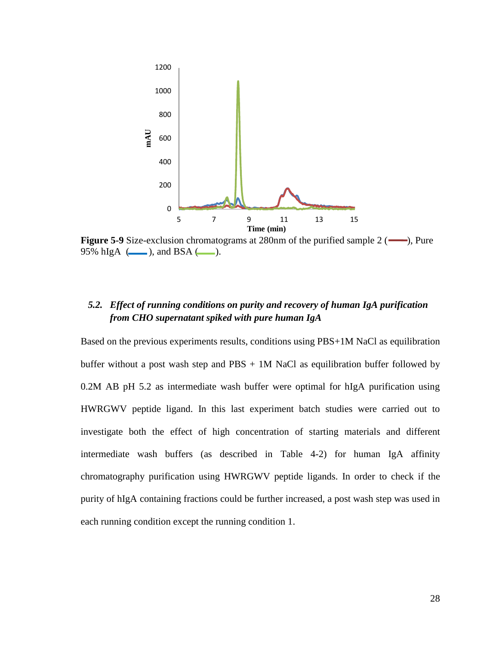

**Figure 5-9** Size-exclusion chromatograms at 280nm of the purified sample 2 ( $\rightarrow$ ), Pure 95% hIgA  $(\_\_\_\)$ , and BSA  $(\_\_\)_$ .

### <span id="page-38-0"></span>*5.2. Effect of running conditions on purity and recovery of human IgA purification from CHO supernatant spiked with pure human IgA*

Based on the previous experiments results, conditions using PBS+1M NaCl as equilibration buffer without a post wash step and  $PBS + 1M$  NaCl as equilibration buffer followed by 0.2M AB pH 5.2 as intermediate wash buffer were optimal for hIgA purification using HWRGWV peptide ligand. In this last experiment batch studies were carried out to investigate both the effect of high concentration of starting materials and different intermediate wash buffers (as described in Table 4-2) for human IgA affinity chromatography purification using HWRGWV peptide ligands. In order to check if the purity of hIgA containing fractions could be further increased, a post wash step was used in each running condition except the running condition 1.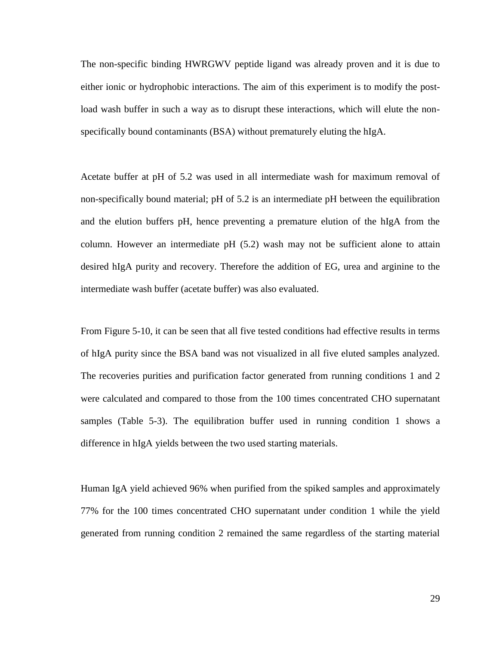The non-specific binding HWRGWV peptide ligand was already proven and it is due to either ionic or hydrophobic interactions. The aim of this experiment is to modify the postload wash buffer in such a way as to disrupt these interactions, which will elute the nonspecifically bound contaminants (BSA) without prematurely eluting the hIgA.

Acetate buffer at pH of 5.2 was used in all intermediate wash for maximum removal of non-specifically bound material; pH of 5.2 is an intermediate pH between the equilibration and the elution buffers pH, hence preventing a premature elution of the hIgA from the column. However an intermediate pH (5.2) wash may not be sufficient alone to attain desired hIgA purity and recovery. Therefore the addition of EG, urea and arginine to the intermediate wash buffer (acetate buffer) was also evaluated.

From Figure 5-10, it can be seen that all five tested conditions had effective results in terms of hIgA purity since the BSA band was not visualized in all five eluted samples analyzed. The recoveries purities and purification factor generated from running conditions 1 and 2 were calculated and compared to those from the 100 times concentrated CHO supernatant samples (Table 5-3). The equilibration buffer used in running condition 1 shows a difference in hIgA yields between the two used starting materials.

Human IgA yield achieved 96% when purified from the spiked samples and approximately 77% for the 100 times concentrated CHO supernatant under condition 1 while the yield generated from running condition 2 remained the same regardless of the starting material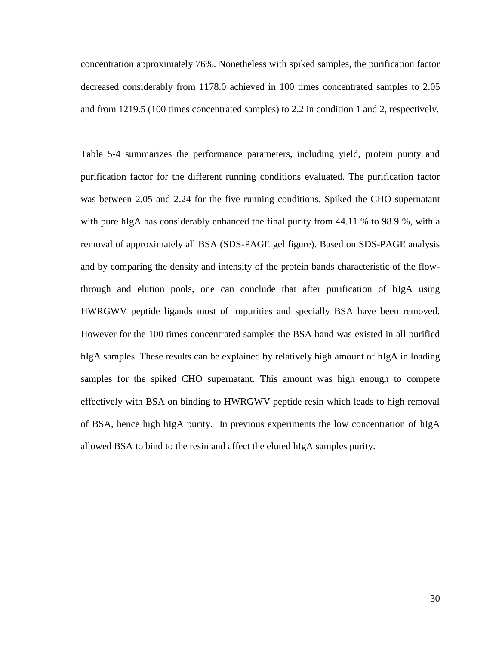concentration approximately 76%. Nonetheless with spiked samples, the purification factor decreased considerably from 1178.0 achieved in 100 times concentrated samples to 2.05 and from 1219.5 (100 times concentrated samples) to 2.2 in condition 1 and 2, respectively.

Table 5-4 summarizes the performance parameters, including yield, protein purity and purification factor for the different running conditions evaluated. The purification factor was between 2.05 and 2.24 for the five running conditions. Spiked the CHO supernatant with pure hIgA has considerably enhanced the final purity from 44.11 % to 98.9 %, with a removal of approximately all BSA (SDS-PAGE gel figure). Based on SDS-PAGE analysis and by comparing the density and intensity of the protein bands characteristic of the flowthrough and elution pools, one can conclude that after purification of hIgA using HWRGWV peptide ligands most of impurities and specially BSA have been removed. However for the 100 times concentrated samples the BSA band was existed in all purified hIgA samples. These results can be explained by relatively high amount of hIgA in loading samples for the spiked CHO supernatant. This amount was high enough to compete effectively with BSA on binding to HWRGWV peptide resin which leads to high removal of BSA, hence high hIgA purity. In previous experiments the low concentration of hIgA allowed BSA to bind to the resin and affect the eluted hIgA samples purity.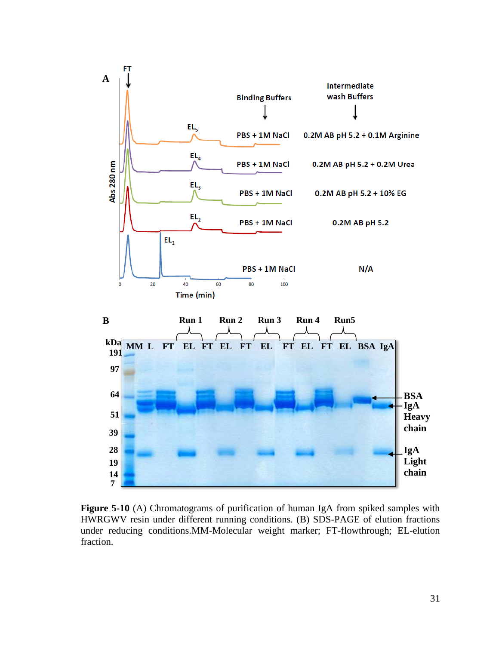

**Figure 5-10** (A) Chromatograms of purification of human IgA from spiked samples with HWRGWV resin under different running conditions. (B) SDS-PAGE of elution fractions under reducing conditions.MM-Molecular weight marker; FT-flowthrough; EL-elution fraction.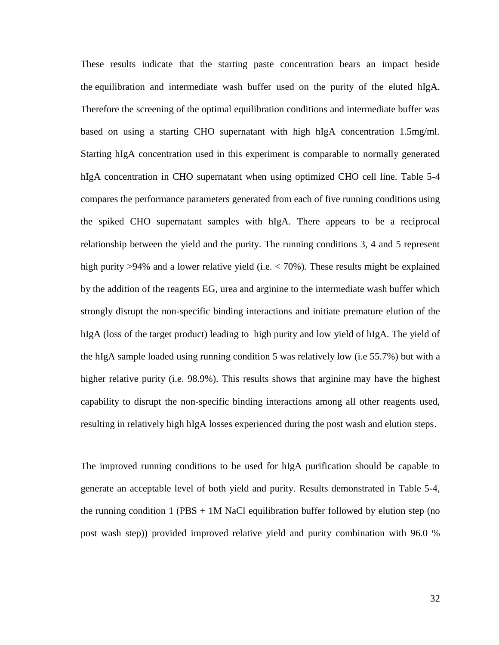These results indicate that the starting paste concentration bears an impact beside the equilibration and intermediate wash buffer used on the purity of the eluted hIgA. Therefore the screening of the optimal equilibration conditions and intermediate buffer was based on using a starting CHO supernatant with high hIgA concentration 1.5mg/ml. Starting hIgA concentration used in this experiment is comparable to normally generated hIgA concentration in CHO supernatant when using optimized CHO cell line. Table 5-4 compares the performance parameters generated from each of five running conditions using the spiked CHO supernatant samples with hIgA. There appears to be a reciprocal relationship between the yield and the purity. The running conditions 3, 4 and 5 represent high purity >94% and a lower relative yield (i.e. < 70%). These results might be explained by the addition of the reagents EG, urea and arginine to the intermediate wash buffer which strongly disrupt the non-specific binding interactions and initiate premature elution of the hIgA (loss of the target product) leading to high purity and low yield of hIgA. The yield of the hIgA sample loaded using running condition 5 was relatively low (i.e 55.7%) but with a higher relative purity (i.e. 98.9%). This results shows that arginine may have the highest capability to disrupt the non-specific binding interactions among all other reagents used, resulting in relatively high hIgA losses experienced during the post wash and elution steps.

The improved running conditions to be used for hIgA purification should be capable to generate an acceptable level of both yield and purity. Results demonstrated in Table 5-4, the running condition 1 (PBS  $+$  1M NaCl equilibration buffer followed by elution step (no post wash step)) provided improved relative yield and purity combination with 96.0 %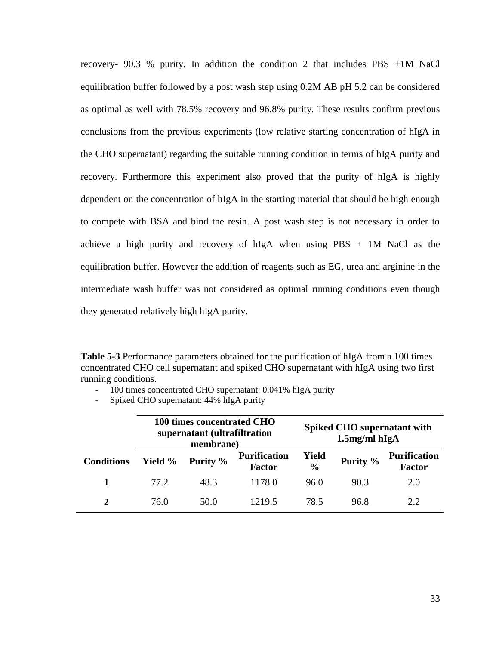recovery- 90.3 % purity. In addition the condition 2 that includes PBS +1M NaCl equilibration buffer followed by a post wash step using 0.2M AB pH 5.2 can be considered as optimal as well with 78.5% recovery and 96.8% purity. These results confirm previous conclusions from the previous experiments (low relative starting concentration of hIgA in the CHO supernatant) regarding the suitable running condition in terms of hIgA purity and recovery. Furthermore this experiment also proved that the purity of hIgA is highly dependent on the concentration of hIgA in the starting material that should be high enough to compete with BSA and bind the resin. A post wash step is not necessary in order to achieve a high purity and recovery of hIgA when using PBS + 1M NaCl as the equilibration buffer. However the addition of reagents such as EG, urea and arginine in the intermediate wash buffer was not considered as optimal running conditions even though they generated relatively high hIgA purity.

**Table 5-3** Performance parameters obtained for the purification of hIgA from a 100 times concentrated CHO cell supernatant and spiked CHO supernatant with hIgA using two first running conditions.

- 100 times concentrated CHO supernatant: 0.041% hIgA purity

- Spiked CHO supernatant: 44% hIgA purity

|                   | 100 times concentrated CHO<br>supernatant (ultrafiltration<br>membrane) |          |                                      |                        | Spiked CHO supernatant with<br>$1.5$ mg/ml hIg $A$ |                                      |
|-------------------|-------------------------------------------------------------------------|----------|--------------------------------------|------------------------|----------------------------------------------------|--------------------------------------|
| <b>Conditions</b> | Yield %                                                                 | Purity % | <b>Purification</b><br><b>Factor</b> | Yield<br>$\frac{0}{0}$ | Purity %                                           | <b>Purification</b><br><b>Factor</b> |
|                   | 77.2                                                                    | 48.3     | 1178.0                               | 96.0                   | 90.3                                               | 2.0                                  |
| $\mathbf{2}$      | 76.0                                                                    | 50.0     | 1219.5                               | 78.5                   | 96.8                                               | 2.2.                                 |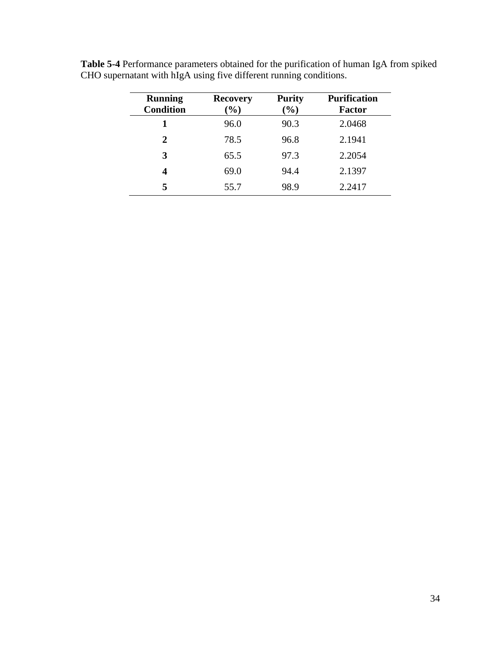| <b>Running</b><br><b>Condition</b> | <b>Recovery</b><br>$(\%)$ | <b>Purity</b><br>$(\%)$ | <b>Purification</b><br><b>Factor</b> |
|------------------------------------|---------------------------|-------------------------|--------------------------------------|
| 1                                  | 96.0                      | 90.3                    | 2.0468                               |
| 2                                  | 78.5                      | 96.8                    | 2.1941                               |
| 3                                  | 65.5                      | 97.3                    | 2.2054                               |
| 4                                  | 69.0                      | 94.4                    | 2.1397                               |
| 5                                  | 55.7                      | 98.9                    | 2.2417                               |

**Table 5-4** Performance parameters obtained for the purification of human IgA from spiked CHO supernatant with hIgA using five different running conditions.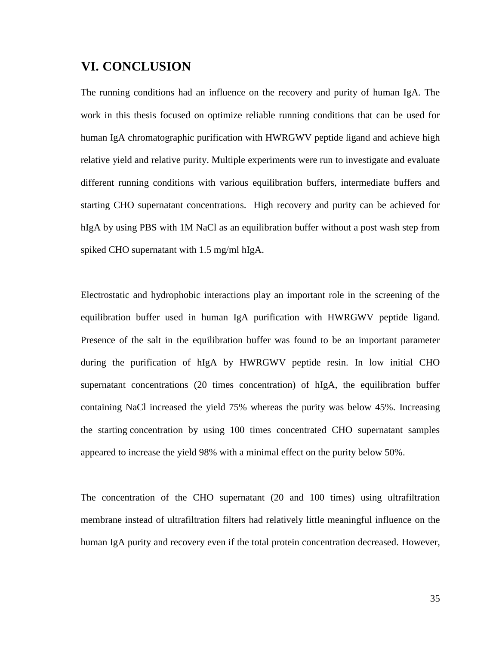# <span id="page-45-0"></span>**VI. CONCLUSION**

The running conditions had an influence on the recovery and purity of human IgA. The work in this thesis focused on optimize reliable running conditions that can be used for human IgA chromatographic purification with HWRGWV peptide ligand and achieve high relative yield and relative purity. Multiple experiments were run to investigate and evaluate different running conditions with various equilibration buffers, intermediate buffers and starting CHO supernatant concentrations. High recovery and purity can be achieved for hIgA by using PBS with 1M NaCl as an equilibration buffer without a post wash step from spiked CHO supernatant with 1.5 mg/ml hIgA.

Electrostatic and hydrophobic interactions play an important role in the screening of the equilibration buffer used in human IgA purification with HWRGWV peptide ligand. Presence of the salt in the equilibration buffer was found to be an important parameter during the purification of hIgA by HWRGWV peptide resin. In low initial CHO supernatant concentrations (20 times concentration) of hIgA, the equilibration buffer containing NaCl increased the yield 75% whereas the purity was below 45%. Increasing the starting concentration by using 100 times concentrated CHO supernatant samples appeared to increase the yield 98% with a minimal effect on the purity below 50%.

The concentration of the CHO supernatant (20 and 100 times) using ultrafiltration membrane instead of ultrafiltration filters had relatively little meaningful influence on the human IgA purity and recovery even if the total protein concentration decreased. However,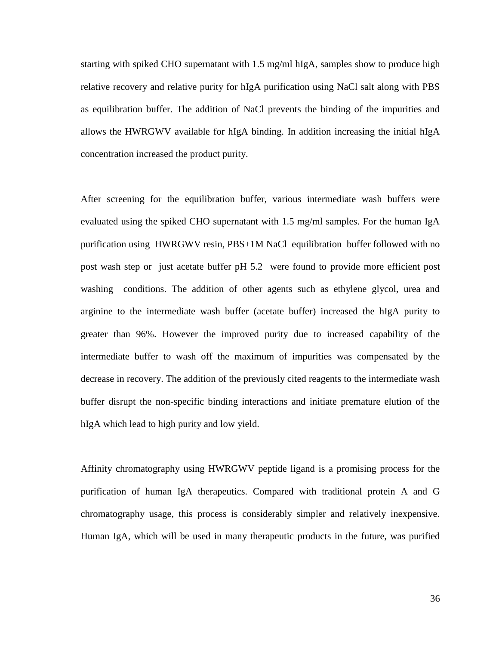starting with spiked CHO supernatant with 1.5 mg/ml hIgA, samples show to produce high relative recovery and relative purity for hIgA purification using NaCl salt along with PBS as equilibration buffer. The addition of NaCl prevents the binding of the impurities and allows the HWRGWV available for hIgA binding. In addition increasing the initial hIgA concentration increased the product purity.

After screening for the equilibration buffer, various intermediate wash buffers were evaluated using the spiked CHO supernatant with 1.5 mg/ml samples. For the human IgA purification using HWRGWV resin, PBS+1M NaCl equilibration buffer followed with no post wash step or just acetate buffer pH 5.2 were found to provide more efficient post washing conditions. The addition of other agents such as ethylene glycol, urea and arginine to the intermediate wash buffer (acetate buffer) increased the hIgA purity to greater than 96%. However the improved purity due to increased capability of the intermediate buffer to wash off the maximum of impurities was compensated by the decrease in recovery. The addition of the previously cited reagents to the intermediate wash buffer disrupt the non-specific binding interactions and initiate premature elution of the hIgA which lead to high purity and low yield.

Affinity chromatography using HWRGWV peptide ligand is a promising process for the purification of human IgA therapeutics. Compared with traditional protein A and G chromatography usage, this process is considerably simpler and relatively inexpensive. Human IgA, which will be used in many therapeutic products in the future, was purified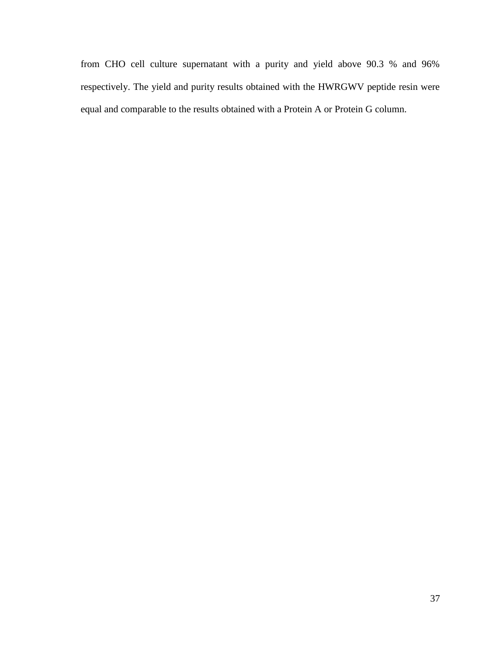from CHO cell culture supernatant with a purity and yield above 90.3 % and 96% respectively. The yield and purity results obtained with the HWRGWV peptide resin were equal and comparable to the results obtained with a Protein A or Protein G column.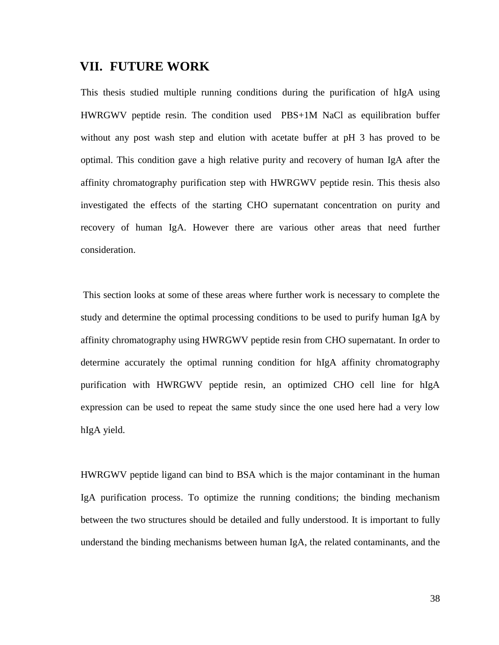# <span id="page-48-0"></span>**VII. FUTURE WORK**

This thesis studied multiple running conditions during the purification of hIgA using HWRGWV peptide resin. The condition used PBS+1M NaCl as equilibration buffer without any post wash step and elution with acetate buffer at pH 3 has proved to be optimal. This condition gave a high relative purity and recovery of human IgA after the affinity chromatography purification step with HWRGWV peptide resin. This thesis also investigated the effects of the starting CHO supernatant concentration on purity and recovery of human IgA. However there are various other areas that need further consideration.

This section looks at some of these areas where further work is necessary to complete the study and determine the optimal processing conditions to be used to purify human IgA by affinity chromatography using HWRGWV peptide resin from CHO supernatant. In order to determine accurately the optimal running condition for hIgA affinity chromatography purification with HWRGWV peptide resin, an optimized CHO cell line for hIgA expression can be used to repeat the same study since the one used here had a very low hIgA yield.

HWRGWV peptide ligand can bind to BSA which is the major contaminant in the human IgA purification process. To optimize the running conditions; the binding mechanism between the two structures should be detailed and fully understood. It is important to fully understand the binding mechanisms between human IgA, the related contaminants, and the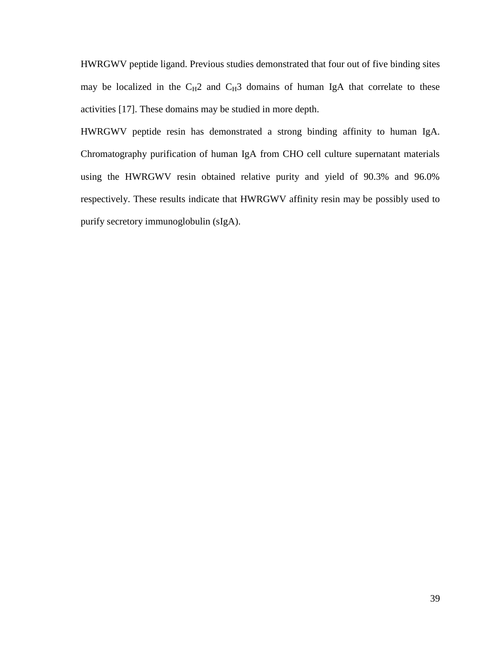HWRGWV peptide ligand. Previous studies demonstrated that four out of five binding sites may be localized in the  $C_H2$  and  $C_H3$  domains of human IgA that correlate to these activities [17]. These domains may be studied in more depth.

HWRGWV peptide resin has demonstrated a strong binding affinity to human IgA. Chromatography purification of human IgA from CHO cell culture supernatant materials using the HWRGWV resin obtained relative purity and yield of 90.3% and 96.0% respectively. These results indicate that HWRGWV affinity resin may be possibly used to purify secretory immunoglobulin (sIgA).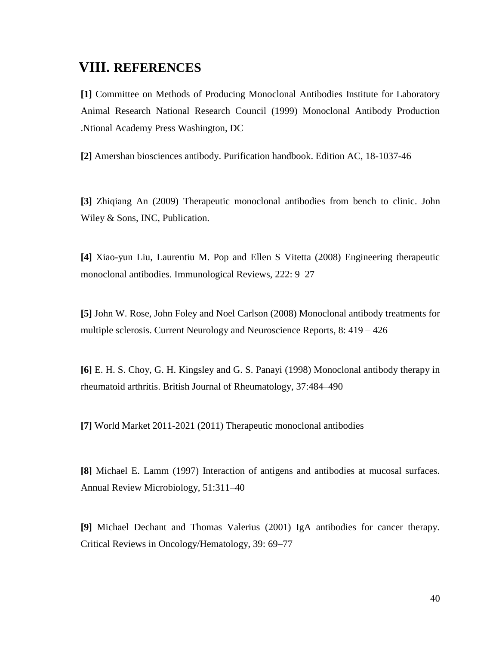# <span id="page-50-0"></span>**VIII. REFERENCES**

**[1]** Committee on Methods of Producing Monoclonal Antibodies Institute for Laboratory Animal Research National Research Council (1999) Monoclonal Antibody Production .Ntional Academy Press Washington, DC

**[2]** Amershan biosciences antibody. Purification handbook. Edition AC, 18-1037-46

**[3]** Zhiqiang An (2009) Therapeutic monoclonal antibodies from bench to clinic. John Wiley & Sons, INC, Publication.

**[4]** Xiao-yun Liu, Laurentiu M. Pop and Ellen S Vitetta (2008) Engineering therapeutic monoclonal antibodies. Immunological Reviews, 222: 9–27

**[5]** John W. Rose, John Foley and Noel Carlson (2008) Monoclonal antibody treatments for multiple sclerosis. Current Neurology and Neuroscience Reports, 8: 419 – 426

**[6]** E. H. S. Choy, G. H. Kingsley and G. S. Panayi (1998) Monoclonal antibody therapy in rheumatoid arthritis. British Journal of Rheumatology, 37:484–490

**[7]** World Market 2011-2021 (2011) Therapeutic monoclonal antibodies

**[8]** Michael E. Lamm (1997) Interaction of antigens and antibodies at mucosal surfaces. Annual Review Microbiology, 51:311–40

**[9]** Michael Dechant and Thomas Valerius (2001) IgA antibodies for cancer therapy. Critical Reviews in Oncology/Hematology, 39: 69–77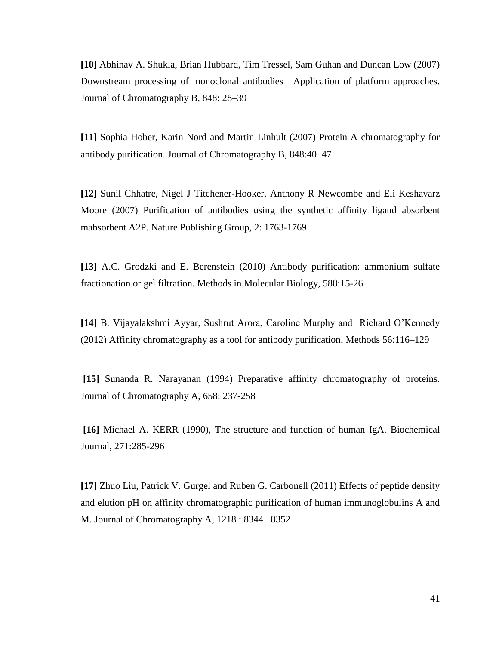**[10]** Abhinav A. Shukla, Brian Hubbard, Tim Tressel, Sam Guhan and Duncan Low (2007) Downstream processing of monoclonal antibodies—Application of platform approaches. Journal of Chromatography B, 848: 28–39

**[11]** Sophia Hober, Karin Nord and Martin Linhult (2007) Protein A chromatography for antibody purification. Journal of Chromatography B, 848:40–47

**[12]** Sunil Chhatre, Nigel J Titchener-Hooker, Anthony R Newcombe and Eli Keshavarz Moore (2007) Purification of antibodies using the synthetic affinity ligand absorbent mabsorbent A2P. Nature Publishing Group, 2: 1763-1769

**[13]** A.C. Grodzki and E. Berenstein (2010) Antibody purification: ammonium sulfate fractionation or gel filtration. Methods in Molecular Biology, 588:15-26

**[14]** B. Vijayalakshmi Ayyar, Sushrut Arora, Caroline Murphy and Richard O'Kennedy (2012) Affinity chromatography as a tool for antibody purificatio[n, Methods 56:1](http://www.sciencedirect.com/science/journal/10462023/56/2)16–129

**[15]** Sunanda R. Narayanan (1994) Preparative affinity chromatography of proteins. Journal of Chromatography A, 658: 237-258

**[16]** Michael A. KERR (1990), The structure and function of human IgA. Biochemical Journal, 271:285-296

**[17]** Zhuo Liu, Patrick V. Gurgel and Ruben G. Carbonell (2011) Effects of peptide density and elution pH on affinity chromatographic purification of human immunoglobulins A and M. Journal of Chromatography A, 1218 : 8344– 8352